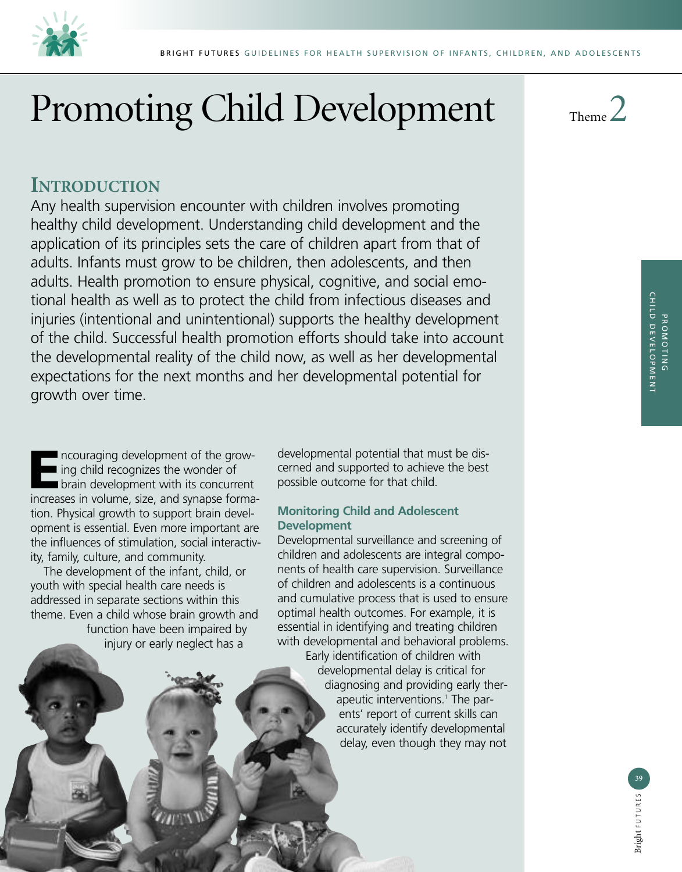

# Promoting Child Development Theme

# **INTRODUCTION**

Any health supervision encounter with children involves promoting healthy child development. Understanding child development and the application of its principles sets the care of children apart from that of adults. Infants must grow to be children, then adolescents, and then adults. Health promotion to ensure physical, cognitive, and social emotional health as well as to protect the child from infectious diseases and injuries (intentional and unintentional) supports the healthy development of the child. Successful health promotion efforts should take into account the developmental reality of the child now, as well as her developmental expectations for the next months and her developmental potential for growth over time.

Incouraging development of the grow-<br>
Fig. comparison in the grow-<br>
Increases in volume size, and synapse formal<br>
Increases in volume size, and synapse formal I ing child recognizes the wonder of brain development with its concurrent increases in volume, size, and synapse formation. Physical growth to support brain development is essential. Even more important are the influences of stimulation, social interactivity, family, culture, and community.

The development of the infant, child, or youth with special health care needs is addressed in separate sections within this theme. Even a child whose brain growth and function have been impaired by injury or early neglect has a

developmental potential that must be discerned and supported to achieve the best possible outcome for that child.

# **Monitoring Child and Adolescent Development**

Developmental surveillance and screening of children and adolescents are integral components of health care supervision. Surveillance of children and adolescents is a continuous and cumulative process that is used to ensure optimal health outcomes. For example, it is essential in identifying and treating children with developmental and behavioral problems.

> Early identification of children with developmental delay is critical for diagnosing and providing early therapeutic interventions.<sup>1</sup> The parents' report of current skills can accurately identify developmental delay, even though they may not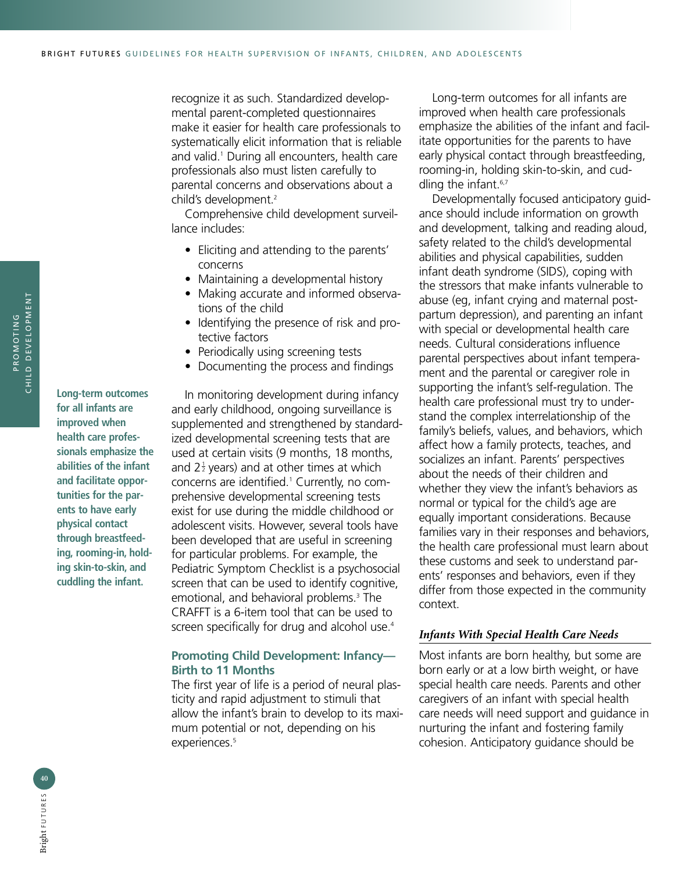recognize it as such. Standardized developmental parent-completed questionnaires make it easier for health care professionals to systematically elicit information that is reliable and valid.<sup>1</sup> During all encounters, health care professionals also must listen carefully to parental concerns and observations about a child's development.2

Comprehensive child development surveillance includes:

- Eliciting and attending to the parents' concerns
- Maintaining a developmental history
- Making accurate and informed observations of the child
- Identifying the presence of risk and protective factors
- Periodically using screening tests
- Documenting the process and findings

**Long-term outcomes for all infants are improved when health care professionals emphasize the abilities of the infant and facilitate opportunities for the parents to have early physical contact through breastfeeding, rooming-in, holding skin-to-skin, and cuddling the infant.**

In monitoring development during infancy and early childhood, ongoing surveillance is supplemented and strengthened by standardized developmental screening tests that are used at certain visits (9 months, 18 months, and  $2\frac{1}{2}$  years) and at other times at which concerns are identified.<sup>1</sup> Currently, no comprehensive developmental screening tests exist for use during the middle childhood or adolescent visits. However, several tools have been developed that are useful in screening for particular problems. For example, the Pediatric Symptom Checklist is a psychosocial screen that can be used to identify cognitive, emotional, and behavioral problems.<sup>3</sup> The CRAFFT is a 6-item tool that can be used to screen specifically for drug and alcohol use.<sup>4</sup>

# **Promoting Child Development: Infancy— Birth to 11 Months**

The first year of life is a period of neural plasticity and rapid adjustment to stimuli that allow the infant's brain to develop to its maximum potential or not, depending on his experiences.<sup>5</sup>

Long-term outcomes for all infants are improved when health care professionals emphasize the abilities of the infant and facilitate opportunities for the parents to have early physical contact through breastfeeding, rooming-in, holding skin-to-skin, and cuddling the infant.<sup>6,7</sup>

Developmentally focused anticipatory guidance should include information on growth and development, talking and reading aloud, safety related to the child's developmental abilities and physical capabilities, sudden infant death syndrome (SIDS), coping with the stressors that make infants vulnerable to abuse (eg, infant crying and maternal postpartum depression), and parenting an infant with special or developmental health care needs. Cultural considerations influence parental perspectives about infant temperament and the parental or caregiver role in supporting the infant's self-regulation. The health care professional must try to understand the complex interrelationship of the family's beliefs, values, and behaviors, which affect how a family protects, teaches, and socializes an infant. Parents' perspectives about the needs of their children and whether they view the infant's behaviors as normal or typical for the child's age are equally important considerations. Because families vary in their responses and behaviors, the health care professional must learn about these customs and seek to understand parents' responses and behaviors, even if they differ from those expected in the community context.

# *Infants With Special Health Care Needs*

Most infants are born healthy, but some are born early or at a low birth weight, or have special health care needs. Parents and other caregivers of an infant with special health care needs will need support and guidance in nurturing the infant and fostering family cohesion. Anticipatory guidance should be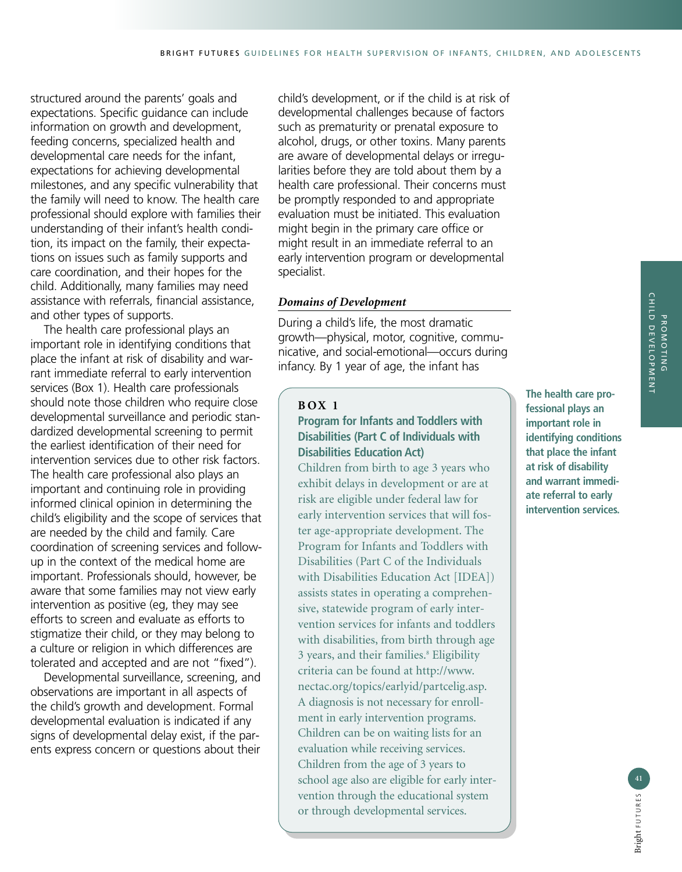structured around the parents' goals and expectations. Specific guidance can include information on growth and development, feeding concerns, specialized health and developmental care needs for the infant, expectations for achieving developmental milestones, and any specific vulnerability that the family will need to know. The health care professional should explore with families their understanding of their infant's health condition, its impact on the family, their expectations on issues such as family supports and care coordination, and their hopes for the child. Additionally, many families may need assistance with referrals, financial assistance, and other types of supports.

The health care professional plays an important role in identifying conditions that place the infant at risk of disability and warrant immediate referral to early intervention services (Box 1). Health care professionals should note those children who require close developmental surveillance and periodic standardized developmental screening to permit the earliest identification of their need for intervention services due to other risk factors. The health care professional also plays an important and continuing role in providing informed clinical opinion in determining the child's eligibility and the scope of services that are needed by the child and family. Care coordination of screening services and followup in the context of the medical home are important. Professionals should, however, be aware that some families may not view early intervention as positive (eg, they may see efforts to screen and evaluate as efforts to stigmatize their child, or they may belong to a culture or religion in which differences are tolerated and accepted and are not "fixed").

Developmental surveillance, screening, and observations are important in all aspects of the child's growth and development. Formal developmental evaluation is indicated if any signs of developmental delay exist, if the parents express concern or questions about their

child's development, or if the child is at risk of developmental challenges because of factors such as prematurity or prenatal exposure to alcohol, drugs, or other toxins. Many parents are aware of developmental delays or irregularities before they are told about them by a health care professional. Their concerns must be promptly responded to and appropriate evaluation must be initiated. This evaluation might begin in the primary care office or might result in an immediate referral to an early intervention program or developmental specialist.

#### *Domains of Development*

During a child's life, the most dramatic growth—physical, motor, cognitive, communicative, and social-emotional—occurs during infancy. By 1 year of age, the infant has

#### **B OX 1**

# **Program for Infants and Toddlers with Disabilities (Part C of Individuals with Disabilities Education Act)**

Children from birth to age 3 years who exhibit delays in development or are at risk are eligible under federal law for early intervention services that will foster age-appropriate development. The Program for Infants and Toddlers with Disabilities (Part C of the Individuals with Disabilities Education Act [IDEA]) assists states in operating a comprehensive, statewide program of early intervention services for infants and toddlers with disabilities, from birth through age 3 years, and their families.<sup>8</sup> Eligibility criteria can be found at http://www. nectac.org/topics/earlyid/partcelig.asp. A diagnosis is not necessary for enrollment in early intervention programs. Children can be on waiting lists for an evaluation while receiving services. Children from the age of 3 years to school age also are eligible for early intervention through the educational system or through developmental services.

P R O N O T I N G

**Bright FUTURES**  $\overrightarrow{B}$ Bright FU TURES

**The health care professional plays an important role in identifying conditions that place the infant at risk of disability and warrant immediate referral to early intervention services.**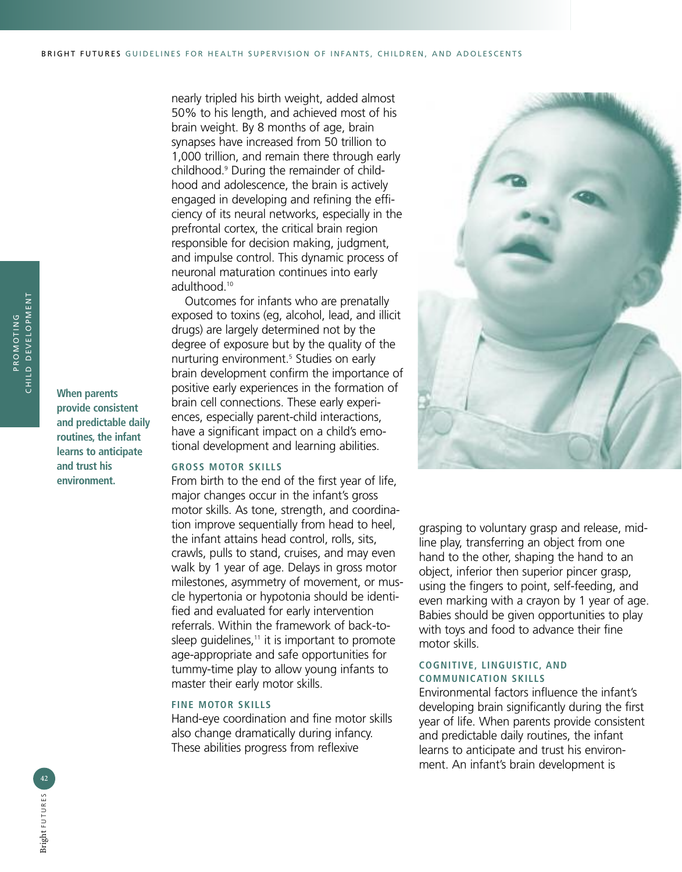nearly tripled his birth weight, added almost 50% to his length, and achieved most of his brain weight. By 8 months of age, brain synapses have increased from 50 trillion to 1,000 trillion, and remain there through early childhood.9 During the remainder of childhood and adolescence, the brain is actively engaged in developing and refining the efficiency of its neural networks, especially in the prefrontal cortex, the critical brain region responsible for decision making, judgment, and impulse control. This dynamic process of neuronal maturation continues into early adulthood.<sup>10</sup>

Outcomes for infants who are prenatally exposed to toxins (eg, alcohol, lead, and illicit drugs) are largely determined not by the degree of exposure but by the quality of the nurturing environment.<sup>5</sup> Studies on early brain development confirm the importance of positive early experiences in the formation of brain cell connections. These early experiences, especially parent-child interactions, have a significant impact on a child's emotional development and learning abilities.

#### **GROSS MOTOR SKILLS**

From birth to the end of the first year of life, major changes occur in the infant's gross motor skills. As tone, strength, and coordination improve sequentially from head to heel, the infant attains head control, rolls, sits, crawls, pulls to stand, cruises, and may even walk by 1 year of age. Delays in gross motor milestones, asymmetry of movement, or muscle hypertonia or hypotonia should be identified and evaluated for early intervention referrals. Within the framework of back-tosleep guidelines, $11$  it is important to promote age-appropriate and safe opportunities for tummy-time play to allow young infants to master their early motor skills.

# **FINE MOTOR SKILLS**

Hand-eye coordination and fine motor skills also change dramatically during infancy. These abilities progress from reflexive



grasping to voluntary grasp and release, midline play, transferring an object from one hand to the other, shaping the hand to an object, inferior then superior pincer grasp, using the fingers to point, self-feeding, and even marking with a crayon by 1 year of age. Babies should be given opportunities to play with toys and food to advance their fine motor skills.

#### **COGNITIVE, LINGUISTIC, AND COMMUNICATION SKILLS**

Environmental factors influence the infant's developing brain significantly during the first year of life. When parents provide consistent and predictable daily routines, the infant learns to anticipate and trust his environment. An infant's brain development is

**When parents provide consistent and predictable daily routines, the infant learns to anticipate and trust his environment.**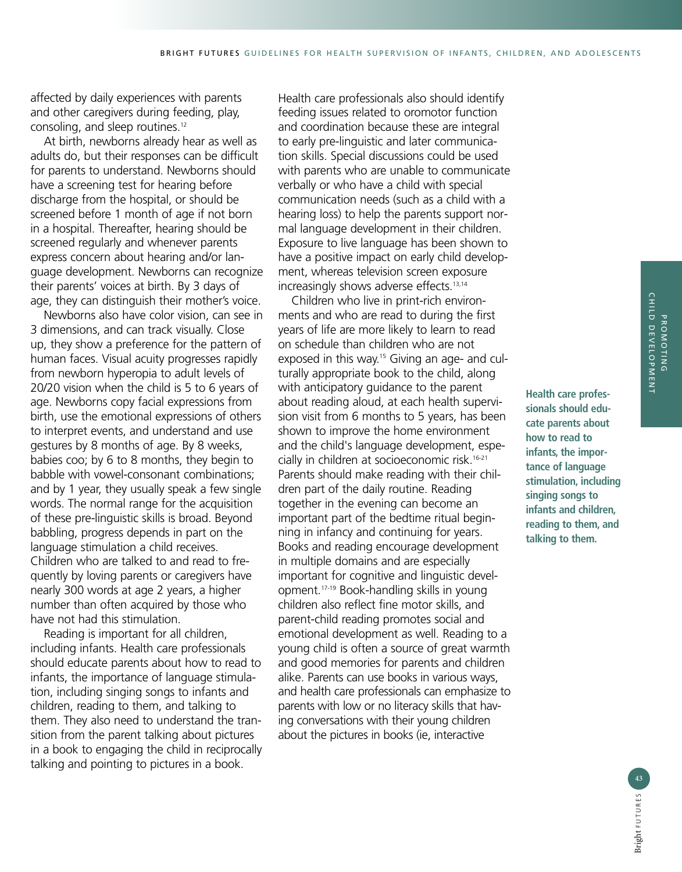affected by daily experiences with parents and other caregivers during feeding, play, consoling, and sleep routines.12

At birth, newborns already hear as well as adults do, but their responses can be difficult for parents to understand. Newborns should have a screening test for hearing before discharge from the hospital, or should be screened before 1 month of age if not born in a hospital. Thereafter, hearing should be screened regularly and whenever parents express concern about hearing and/or language development. Newborns can recognize their parents' voices at birth. By 3 days of age, they can distinguish their mother's voice.

Newborns also have color vision, can see in 3 dimensions, and can track visually. Close up, they show a preference for the pattern of human faces. Visual acuity progresses rapidly from newborn hyperopia to adult levels of 20/20 vision when the child is 5 to 6 years of age. Newborns copy facial expressions from birth, use the emotional expressions of others to interpret events, and understand and use gestures by 8 months of age. By 8 weeks, babies coo; by 6 to 8 months, they begin to babble with vowel-consonant combinations; and by 1 year, they usually speak a few single words. The normal range for the acquisition of these pre-linguistic skills is broad. Beyond babbling, progress depends in part on the language stimulation a child receives. Children who are talked to and read to frequently by loving parents or caregivers have nearly 300 words at age 2 years, a higher number than often acquired by those who have not had this stimulation.

Reading is important for all children, including infants. Health care professionals should educate parents about how to read to infants, the importance of language stimulation, including singing songs to infants and children, reading to them, and talking to them. They also need to understand the transition from the parent talking about pictures in a book to engaging the child in reciprocally talking and pointing to pictures in a book.

Health care professionals also should identify feeding issues related to oromotor function and coordination because these are integral to early pre-linguistic and later communication skills. Special discussions could be used with parents who are unable to communicate verbally or who have a child with special communication needs (such as a child with a hearing loss) to help the parents support normal language development in their children. Exposure to live language has been shown to have a positive impact on early child development, whereas television screen exposure increasingly shows adverse effects.<sup>13,14</sup>

Children who live in print-rich environments and who are read to during the first years of life are more likely to learn to read on schedule than children who are not exposed in this way.15 Giving an age- and culturally appropriate book to the child, along with anticipatory guidance to the parent about reading aloud, at each health supervision visit from 6 months to 5 years, has been shown to improve the home environment and the child's language development, especially in children at socioeconomic risk.16-21 Parents should make reading with their children part of the daily routine. Reading together in the evening can become an important part of the bedtime ritual beginning in infancy and continuing for years. Books and reading encourage development in multiple domains and are especially important for cognitive and linguistic development.17-19 Book-handling skills in young children also reflect fine motor skills, and parent-child reading promotes social and emotional development as well. Reading to a young child is often a source of great warmth and good memories for parents and children alike. Parents can use books in various ways, and health care professionals can emphasize to parents with low or no literacy skills that having conversations with their young children about the pictures in books (ie, interactive

**Health care professionals should educate parents about how to read to infants, the importance of language stimulation, including singing songs to infants and children, reading to them, and talking to them.**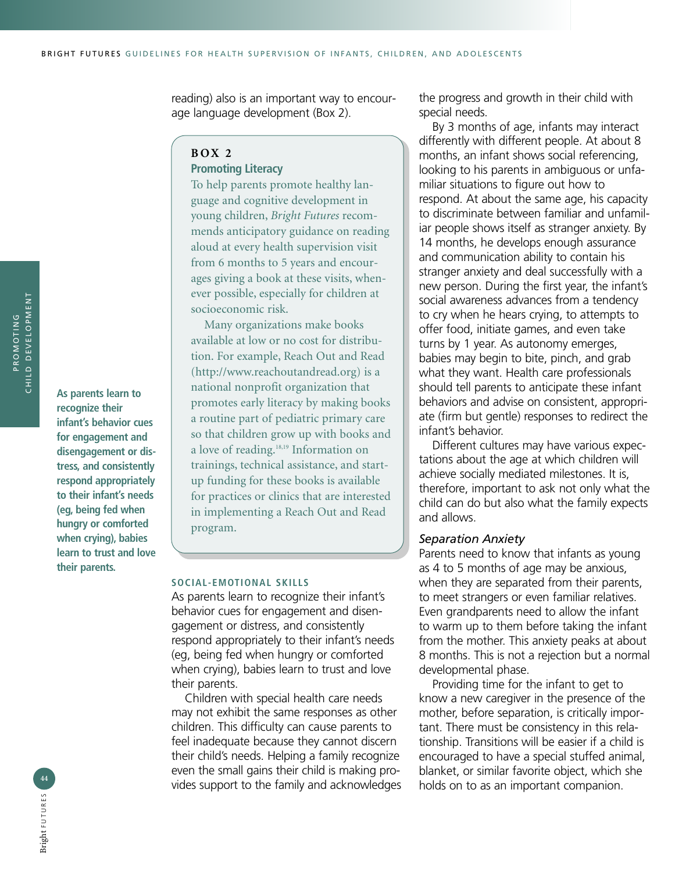**As parents learn to recognize their infant's behavior cues for engagement and disengagement or distress, and consistently respond appropriately to their infant's needs (eg, being fed when hungry or comforted when crying), babies learn to trust and love their parents.**

reading) also is an important way to encourage language development (Box 2).

# **B OX 2 Promoting Literacy**

To help parents promote healthy language and cognitive development in young children, *Bright Futures* recommends anticipatory guidance on reading aloud at every health supervision visit from 6 months to 5 years and encourages giving a book at these visits, whenever possible, especially for children at socioeconomic risk.

Many organizations make books available at low or no cost for distribution. For example, Reach Out and Read (http://www.reachoutandread.org) is a national nonprofit organization that promotes early literacy by making books a routine part of pediatric primary care so that children grow up with books and a love of reading.<sup>18,19</sup> Information on trainings, technical assistance, and startup funding for these books is available for practices or clinics that are interested in implementing a Reach Out and Read program.

#### **SOCIAL-EMOTIONAL SKILLS**

As parents learn to recognize their infant's behavior cues for engagement and disengagement or distress, and consistently respond appropriately to their infant's needs (eg, being fed when hungry or comforted when crying), babies learn to trust and love their parents.

Children with special health care needs may not exhibit the same responses as other children. This difficulty can cause parents to feel inadequate because they cannot discern their child's needs. Helping a family recognize even the small gains their child is making provides support to the family and acknowledges the progress and growth in their child with special needs.

By 3 months of age, infants may interact differently with different people. At about 8 months, an infant shows social referencing, looking to his parents in ambiguous or unfamiliar situations to figure out how to respond. At about the same age, his capacity to discriminate between familiar and unfamiliar people shows itself as stranger anxiety. By 14 months, he develops enough assurance and communication ability to contain his stranger anxiety and deal successfully with a new person. During the first year, the infant's social awareness advances from a tendency to cry when he hears crying, to attempts to offer food, initiate games, and even take turns by 1 year. As autonomy emerges, babies may begin to bite, pinch, and grab what they want. Health care professionals should tell parents to anticipate these infant behaviors and advise on consistent, appropriate (firm but gentle) responses to redirect the infant's behavior.

Different cultures may have various expectations about the age at which children will achieve socially mediated milestones. It is, therefore, important to ask not only what the child can do but also what the family expects and allows.

#### *Separation Anxiety*

Parents need to know that infants as young as 4 to 5 months of age may be anxious, when they are separated from their parents, to meet strangers or even familiar relatives. Even grandparents need to allow the infant to warm up to them before taking the infant from the mother. This anxiety peaks at about 8 months. This is not a rejection but a normal developmental phase.

Providing time for the infant to get to know a new caregiver in the presence of the mother, before separation, is critically important. There must be consistency in this relationship. Transitions will be easier if a child is encouraged to have a special stuffed animal, blanket, or similar favorite object, which she holds on to as an important companion.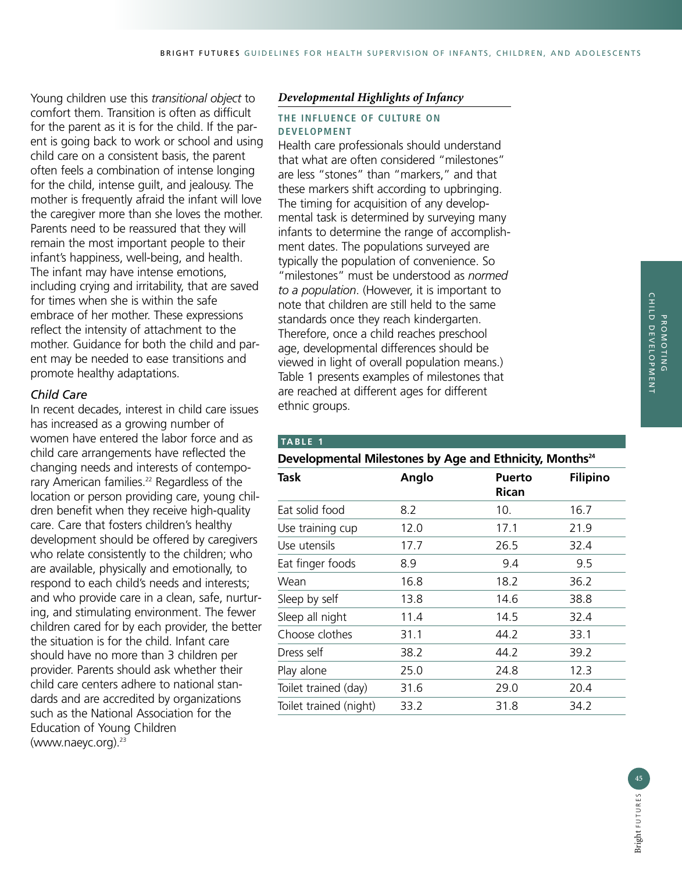Young children use this *transitional object* to comfort them. Transition is often as difficult for the parent as it is for the child. If the parent is going back to work or school and using child care on a consistent basis, the parent often feels a combination of intense longing for the child, intense guilt, and jealousy. The mother is frequently afraid the infant will love the caregiver more than she loves the mother. Parents need to be reassured that they will remain the most important people to their infant's happiness, well-being, and health. The infant may have intense emotions, including crying and irritability, that are saved for times when she is within the safe embrace of her mother. These expressions reflect the intensity of attachment to the mother. Guidance for both the child and parent may be needed to ease transitions and promote healthy adaptations.

#### *Child Care*

In recent decades, interest in child care issues has increased as a growing number of women have entered the labor force and as child care arrangements have reflected the changing needs and interests of contemporary American families.<sup>22</sup> Regardless of the location or person providing care, young children benefit when they receive high-quality care. Care that fosters children's healthy development should be offered by caregivers who relate consistently to the children; who are available, physically and emotionally, to respond to each child's needs and interests; and who provide care in a clean, safe, nurturing, and stimulating environment. The fewer children cared for by each provider, the better the situation is for the child. Infant care should have no more than 3 children per provider. Parents should ask whether their child care centers adhere to national standards and are accredited by organizations such as the National Association for the Education of Young Children (www.naeyc.org).<sup>23</sup>

## *Developmental Highlights of Infancy*

# **THE INFLUENCE OF CULTURE ON DEVELOPMENT**

Health care professionals should understand that what are often considered "milestones" are less "stones" than "markers," and that these markers shift according to upbringing. The timing for acquisition of any developmental task is determined by surveying many infants to determine the range of accomplishment dates. The populations surveyed are typically the population of convenience. So "milestones" must be understood as *normed to a population*. (However, it is important to note that children are still held to the same standards once they reach kindergarten. Therefore, once a child reaches preschool age, developmental differences should be viewed in light of overall population means.) Table 1 presents examples of milestones that are reached at different ages for different ethnic groups.

#### **TABLE 1**

## Developmental Milestones by Age and Ethnicity, Months<sup>24</sup>

| Task                   | Anglo | Puerto<br><b>Rican</b> | <b>Filipino</b> |
|------------------------|-------|------------------------|-----------------|
| Eat solid food         | 8.2   | 10.                    | 16.7            |
| Use training cup       | 12.0  | 17.1                   | 21.9            |
| Use utensils.          | 17.7  | 26.5                   | 32.4            |
| Eat finger foods       | 8.9   | 9.4                    | 9.5             |
| Wean                   | 16.8  | 18.2                   | 36.2            |
| Sleep by self          | 13.8  | 14.6                   | 38.8            |
| Sleep all night        | 11.4  | 14.5                   | 32.4            |
| Choose clothes         | 31.1  | 44.2                   | 33.1            |
| Dress self             | 38.2  | 44.2                   | 39.2            |
| Play alone             | 25.0  | 24.8                   | 12.3            |
| Toilet trained (day)   | 31.6  | 29.0                   | 20.4            |
| Toilet trained (night) | 33.2  | 31.8                   | 34.2            |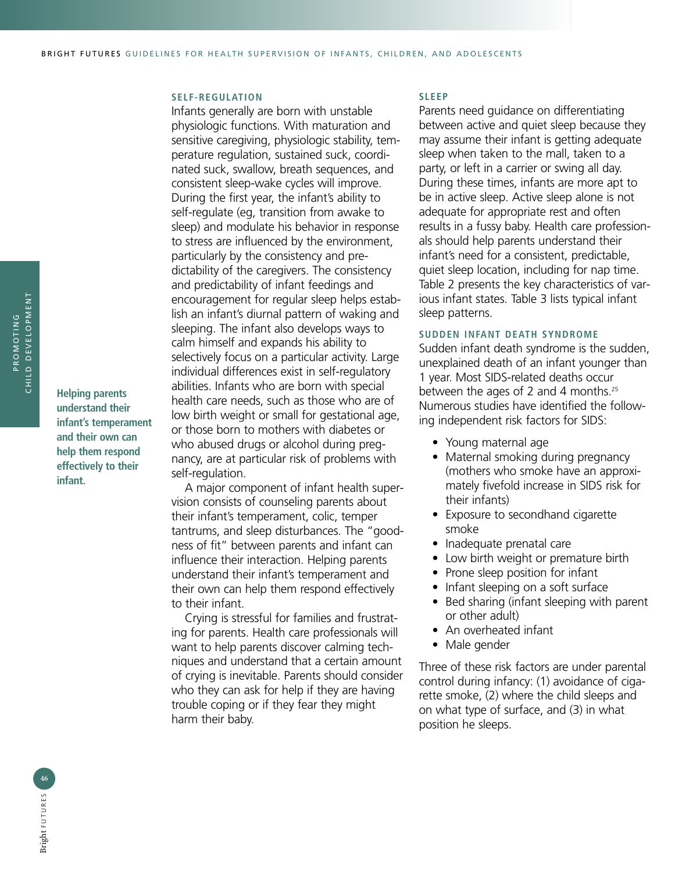#### **SELF-REGULATION**

Infants generally are born with unstable physiologic functions. With maturation and sensitive caregiving, physiologic stability, temperature regulation, sustained suck, coordinated suck, swallow, breath sequences, and consistent sleep-wake cycles will improve. During the first year, the infant's ability to self-regulate (eg, transition from awake to sleep) and modulate his behavior in response to stress are influenced by the environment, particularly by the consistency and predictability of the caregivers. The consistency and predictability of infant feedings and encouragement for regular sleep helps establish an infant's diurnal pattern of waking and sleeping. The infant also develops ways to calm himself and expands his ability to selectively focus on a particular activity. Large individual differences exist in self-regulatory abilities. Infants who are born with special health care needs, such as those who are of low birth weight or small for gestational age, or those born to mothers with diabetes or who abused drugs or alcohol during pregnancy, are at particular risk of problems with self-regulation.

A major component of infant health supervision consists of counseling parents about their infant's temperament, colic, temper tantrums, and sleep disturbances. The "goodness of fit" between parents and infant can influence their interaction. Helping parents understand their infant's temperament and their own can help them respond effectively to their infant.

Crying is stressful for families and frustrating for parents. Health care professionals will want to help parents discover calming techniques and understand that a certain amount of crying is inevitable. Parents should consider who they can ask for help if they are having trouble coping or if they fear they might harm their baby.

#### **SLEEP**

Parents need guidance on differentiating between active and quiet sleep because they may assume their infant is getting adequate sleep when taken to the mall, taken to a party, or left in a carrier or swing all day. During these times, infants are more apt to be in active sleep. Active sleep alone is not adequate for appropriate rest and often results in a fussy baby. Health care professionals should help parents understand their infant's need for a consistent, predictable, quiet sleep location, including for nap time. Table 2 presents the key characteristics of various infant states. Table 3 lists typical infant sleep patterns.

#### **SUDDEN INFANT DEATH SYNDROME**

Sudden infant death syndrome is the sudden, unexplained death of an infant younger than 1 year. Most SIDS-related deaths occur between the ages of 2 and 4 months.<sup>25</sup> Numerous studies have identified the following independent risk factors for SIDS:

- Young maternal age
- Maternal smoking during pregnancy (mothers who smoke have an approximately fivefold increase in SIDS risk for their infants)
- Exposure to secondhand cigarette smoke
- Inadequate prenatal care
- Low birth weight or premature birth
- Prone sleep position for infant
- Infant sleeping on a soft surface
- Bed sharing (infant sleeping with parent or other adult)
- An overheated infant
- Male gender

Three of these risk factors are under parental control during infancy: (1) avoidance of cigarette smoke, (2) where the child sleeps and on what type of surface, and (3) in what position he sleeps.

**Helping parents understand their infant's temperament and their own can help them respond effectively to their infant.**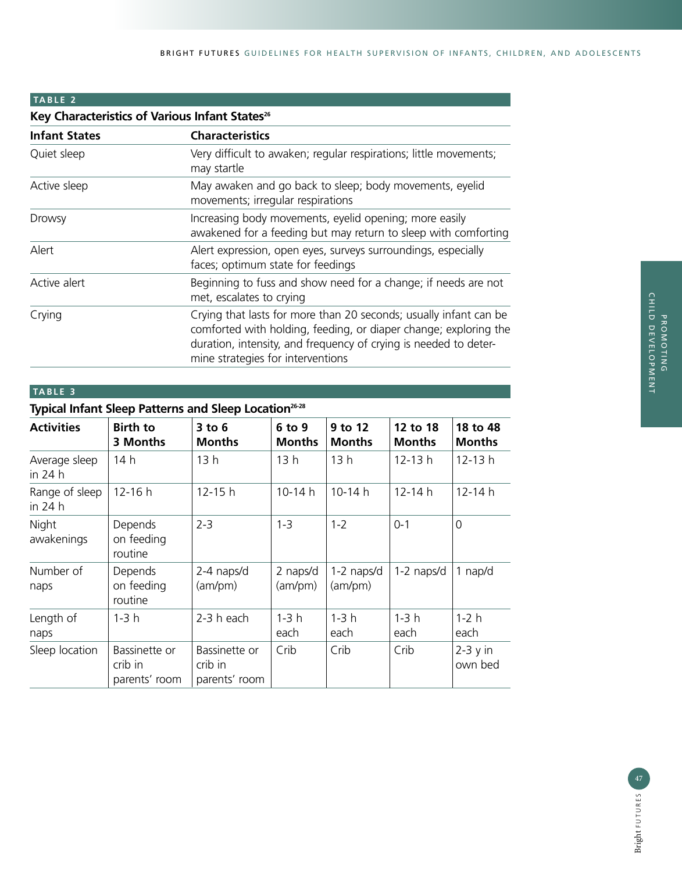| TABLE 2                                                    |                                                                                                                                                                                                                                                |  |  |
|------------------------------------------------------------|------------------------------------------------------------------------------------------------------------------------------------------------------------------------------------------------------------------------------------------------|--|--|
| Key Characteristics of Various Infant States <sup>26</sup> |                                                                                                                                                                                                                                                |  |  |
| <b>Infant States</b>                                       | <b>Characteristics</b>                                                                                                                                                                                                                         |  |  |
| Quiet sleep                                                | Very difficult to awaken; regular respirations; little movements;<br>may startle                                                                                                                                                               |  |  |
| Active sleep                                               | May awaken and go back to sleep; body movements, eyelid<br>movements; irregular respirations                                                                                                                                                   |  |  |
| Drowsy                                                     | Increasing body movements, eyelid opening; more easily<br>awakened for a feeding but may return to sleep with comforting                                                                                                                       |  |  |
| Alert                                                      | Alert expression, open eyes, surveys surroundings, especially<br>faces; optimum state for feedings                                                                                                                                             |  |  |
| Active alert                                               | Beginning to fuss and show need for a change; if needs are not<br>met, escalates to crying                                                                                                                                                     |  |  |
| Crying                                                     | Crying that lasts for more than 20 seconds; usually infant can be<br>comforted with holding, feeding, or diaper change; exploring the<br>duration, intensity, and frequency of crying is needed to deter-<br>mine strategies for interventions |  |  |

| TABLE 3 |  |  |
|---------|--|--|
|         |  |  |
|         |  |  |

**Typical Infant Sleep Patterns and Sleep Location26-28**

| <b>Activities</b>         | <b>Birth to</b><br>3 Months               | $3$ to $6$<br><b>Months</b>               | 6 to 9<br>Months    | 9 to 12<br><b>Months</b> | 12 to 18<br><b>Months</b> | 18 to 48<br><b>Months</b> |
|---------------------------|-------------------------------------------|-------------------------------------------|---------------------|--------------------------|---------------------------|---------------------------|
| Average sleep<br>in 24 h  | 14h                                       | 13h                                       | 13h                 | 13h                      | $12 - 13h$                | $12 - 13h$                |
| Range of sleep<br>in 24 h | 12-16 h                                   | 12-15h                                    | 10-14 h             | 10-14 h                  | 12-14 h                   | 12-14 h                   |
| Night<br>awakenings       | Depends<br>on feeding<br>routine          | $2 - 3$                                   | $1 - 3$             | $1 - 2$                  | $0 - 1$                   | 0                         |
| Number of<br>naps         | Depends<br>on feeding<br>routine          | 2-4 naps/d<br>(am/pm)                     | 2 naps/d<br>(am/pm) | 1-2 naps/d<br>(am/pm)    | 1-2 naps/d                | 1 nap/d                   |
| Length of<br>naps         | $1-3h$                                    | 2-3 h each                                | $1-3h$<br>each      | $1-3h$<br>each           | $1-3h$<br>each            | $1-2h$<br>each            |
| Sleep location            | Bassinette or<br>crib in<br>parents' room | Bassinette or<br>crib in<br>parents' room | Crib                | Crib                     | Crib                      | $2-3y$ in<br>own bed      |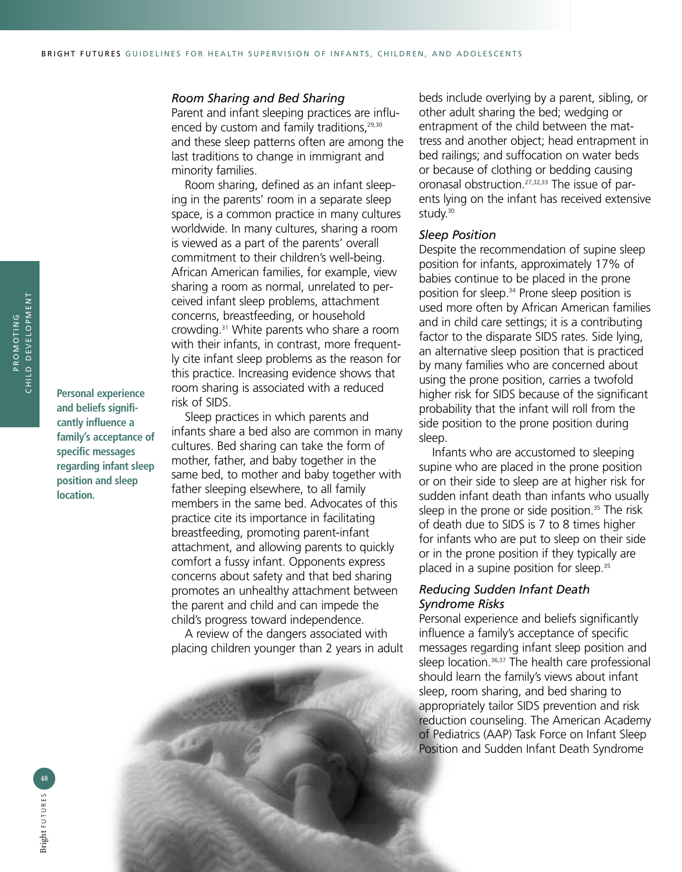#### *Room Sharing and Bed Sharing*

Parent and infant sleeping practices are influenced by custom and family traditions,<sup>29,30</sup> and these sleep patterns often are among the last traditions to change in immigrant and minority families.

Room sharing, defined as an infant sleeping in the parents' room in a separate sleep space, is a common practice in many cultures worldwide. In many cultures, sharing a room is viewed as a part of the parents' overall commitment to their children's well-being. African American families, for example, view sharing a room as normal, unrelated to perceived infant sleep problems, attachment concerns, breastfeeding, or household crowding.31 White parents who share a room with their infants, in contrast, more frequently cite infant sleep problems as the reason for this practice. Increasing evidence shows that room sharing is associated with a reduced risk of SIDS.

Sleep practices in which parents and infants share a bed also are common in many cultures. Bed sharing can take the form of mother, father, and baby together in the same bed, to mother and baby together with father sleeping elsewhere, to all family members in the same bed. Advocates of this practice cite its importance in facilitating breastfeeding, promoting parent-infant attachment, and allowing parents to quickly comfort a fussy infant. Opponents express concerns about safety and that bed sharing promotes an unhealthy attachment between the parent and child and can impede the child's progress toward independence.

A review of the dangers associated with placing children younger than 2 years in adult beds include overlying by a parent, sibling, or other adult sharing the bed; wedging or entrapment of the child between the mattress and another object; head entrapment in bed railings; and suffocation on water beds or because of clothing or bedding causing oronasal obstruction.27,32,33 The issue of parents lying on the infant has received extensive study.<sup>30</sup>

#### *Sleep Position*

Despite the recommendation of supine sleep position for infants, approximately 17% of babies continue to be placed in the prone position for sleep.34 Prone sleep position is used more often by African American families and in child care settings; it is a contributing factor to the disparate SIDS rates. Side lying, an alternative sleep position that is practiced by many families who are concerned about using the prone position, carries a twofold higher risk for SIDS because of the significant probability that the infant will roll from the side position to the prone position during sleep.

Infants who are accustomed to sleeping supine who are placed in the prone position or on their side to sleep are at higher risk for sudden infant death than infants who usually sleep in the prone or side position.<sup>35</sup> The risk of death due to SIDS is 7 to 8 times higher for infants who are put to sleep on their side or in the prone position if they typically are placed in a supine position for sleep.35

# *Reducing Sudden Infant Death Syndrome Risks*

Personal experience and beliefs significantly influence a family's acceptance of specific messages regarding infant sleep position and sleep location.<sup>36,37</sup> The health care professional should learn the family's views about infant sleep, room sharing, and bed sharing to appropriately tailor SIDS prevention and risk reduction counseling. The American Academy of Pediatrics (AAP) Task Force on Infant Sleep Position and Sudden Infant Death Syndrome

**Personal experience and beliefs significantly influence a family's acceptance of specific messages regarding infant sleep position and sleep location.**

P R O M O T I N G C H I L D D E V E L O P M E N T

CHILD DEVELOPMENT PROMOTING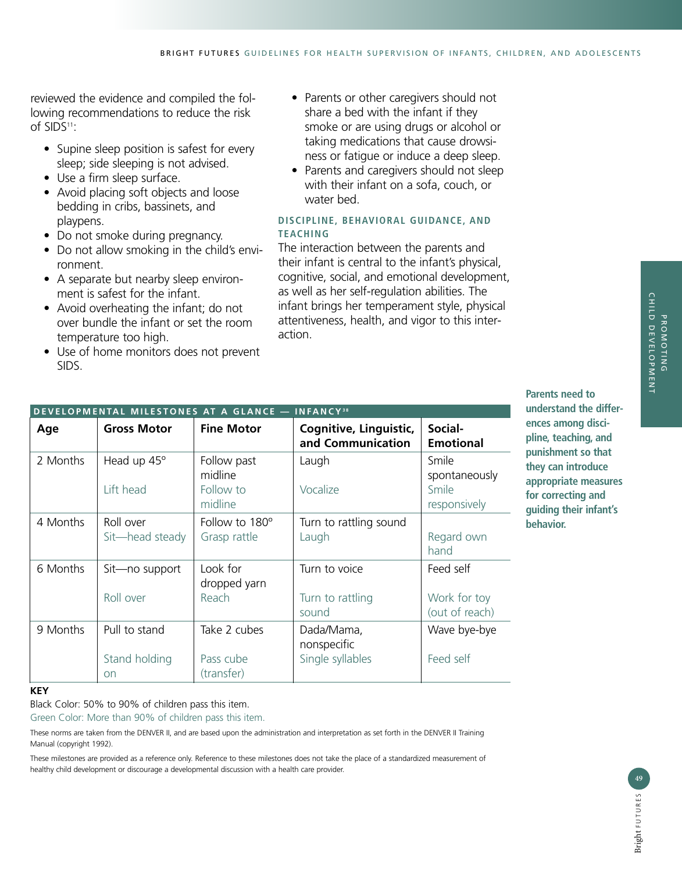reviewed the evidence and compiled the following recommendations to reduce the risk of SIDS<sup>11</sup>:

- Supine sleep position is safest for every sleep; side sleeping is not advised.
- Use a firm sleep surface.
- Avoid placing soft objects and loose bedding in cribs, bassinets, and playpens.
- Do not smoke during pregnancy.
- Do not allow smoking in the child's environment.
- A separate but nearby sleep environment is safest for the infant.
- Avoid overheating the infant; do not over bundle the infant or set the room temperature too high.
- Use of home monitors does not prevent SIDS.
- Parents or other caregivers should not share a bed with the infant if they smoke or are using drugs or alcohol or taking medications that cause drowsiness or fatigue or induce a deep sleep.
- Parents and caregivers should not sleep with their infant on a sofa, couch, or water bed.

#### **DISCIPLINE, BEHAVIORAL GUIDANCE, AND TEACHING**

The interaction between the parents and their infant is central to the infant's physical, cognitive, social, and emotional development, as well as her self-regulation abilities. The infant brings her temperament style, physical attentiveness, health, and vigor to this interaction.

|          | <b>MILESTONES AT</b>       | GLANCE                   |                                             |                                |
|----------|----------------------------|--------------------------|---------------------------------------------|--------------------------------|
| Age      | <b>Gross Motor</b>         | <b>Fine Motor</b>        | Cognitive, Linguistic,<br>and Communication | Social-<br><b>Emotional</b>    |
| 2 Months | Head up 45°                | Follow past<br>midline   | Laugh                                       | Smile<br>spontaneously         |
|          | Lift head                  | Follow to<br>midline     | Vocalize                                    | Smile<br>responsively          |
| 4 Months | Roll over                  | Follow to 180°           | Turn to rattling sound                      |                                |
|          | Sit-head steady            | Grasp rattle             | Laugh                                       | Regard own<br>hand             |
| 6 Months | Sit-no support             | Look for<br>dropped yarn | Turn to voice                               | Feed self                      |
|          | Roll over                  | Reach                    | Turn to rattling<br>sound                   | Work for toy<br>(out of reach) |
| 9 Months | Pull to stand              | Take 2 cubes             | Dada/Mama,<br>nonspecific                   | Wave bye-bye                   |
|          | Stand holding<br><b>on</b> | Pass cube<br>(transfer)  | Single syllables                            | Feed self                      |

**Parents need to understand the differences among discipline, teaching, and punishment so that they can introduce appropriate measures for correcting and guiding their infant's behavior.**

P R O N O T I N G C H I L D D E V E L O P M E N T

Black Color: 50% to 90% of children pass this item.

Green Color: More than 90% of children pass this item.

These norms are taken from the DENVER II, and are based upon the administration and interpretation as set forth in the DENVER II Training Manual (copyright 1992).

These milestones are provided as a reference only. Reference to these milestones does not take the place of a standardized measurement of healthy child development or discourage a developmental discussion with a health care provider.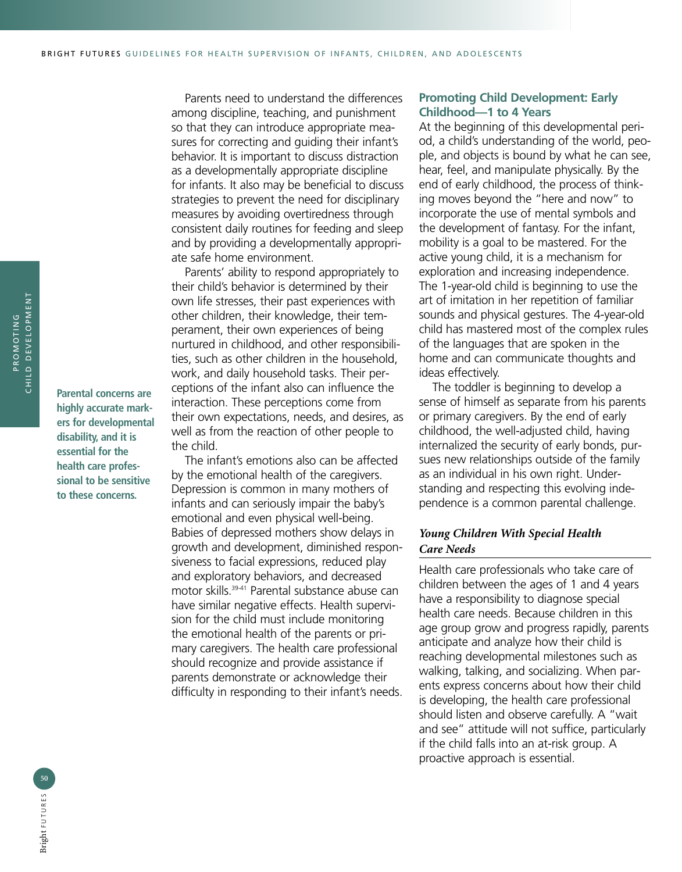Parents need to understand the differences among discipline, teaching, and punishment so that they can introduce appropriate measures for correcting and guiding their infant's behavior. It is important to discuss distraction as a developmentally appropriate discipline for infants. It also may be beneficial to discuss strategies to prevent the need for disciplinary measures by avoiding overtiredness through consistent daily routines for feeding and sleep and by providing a developmentally appropriate safe home environment.

Parents' ability to respond appropriately to their child's behavior is determined by their own life stresses, their past experiences with other children, their knowledge, their temperament, their own experiences of being nurtured in childhood, and other responsibilities, such as other children in the household, work, and daily household tasks. Their perceptions of the infant also can influence the interaction. These perceptions come from their own expectations, needs, and desires, as well as from the reaction of other people to the child.

The infant's emotions also can be affected by the emotional health of the caregivers. Depression is common in many mothers of infants and can seriously impair the baby's emotional and even physical well-being. Babies of depressed mothers show delays in growth and development, diminished responsiveness to facial expressions, reduced play and exploratory behaviors, and decreased motor skills.39-41 Parental substance abuse can have similar negative effects. Health supervision for the child must include monitoring the emotional health of the parents or primary caregivers. The health care professional should recognize and provide assistance if parents demonstrate or acknowledge their difficulty in responding to their infant's needs.

# **Promoting Child Development: Early Childhood—1 to 4 Years**

At the beginning of this developmental period, a child's understanding of the world, people, and objects is bound by what he can see, hear, feel, and manipulate physically. By the end of early childhood, the process of thinking moves beyond the "here and now" to incorporate the use of mental symbols and the development of fantasy. For the infant, mobility is a goal to be mastered. For the active young child, it is a mechanism for exploration and increasing independence. The 1-year-old child is beginning to use the art of imitation in her repetition of familiar sounds and physical gestures. The 4-year-old child has mastered most of the complex rules of the languages that are spoken in the home and can communicate thoughts and ideas effectively.

The toddler is beginning to develop a sense of himself as separate from his parents or primary caregivers. By the end of early childhood, the well-adjusted child, having internalized the security of early bonds, pursues new relationships outside of the family as an individual in his own right. Understanding and respecting this evolving independence is a common parental challenge.

# *Young Children With Special Health Care Needs*

Health care professionals who take care of children between the ages of 1 and 4 years have a responsibility to diagnose special health care needs. Because children in this age group grow and progress rapidly, parents anticipate and analyze how their child is reaching developmental milestones such as walking, talking, and socializing. When parents express concerns about how their child is developing, the health care professional should listen and observe carefully. A "wait and see" attitude will not suffice, particularly if the child falls into an at-risk group. A proactive approach is essential.

**Parental concerns are highly accurate markers for developmental disability, and it is essential for the health care professional to be sensitive to these concerns.**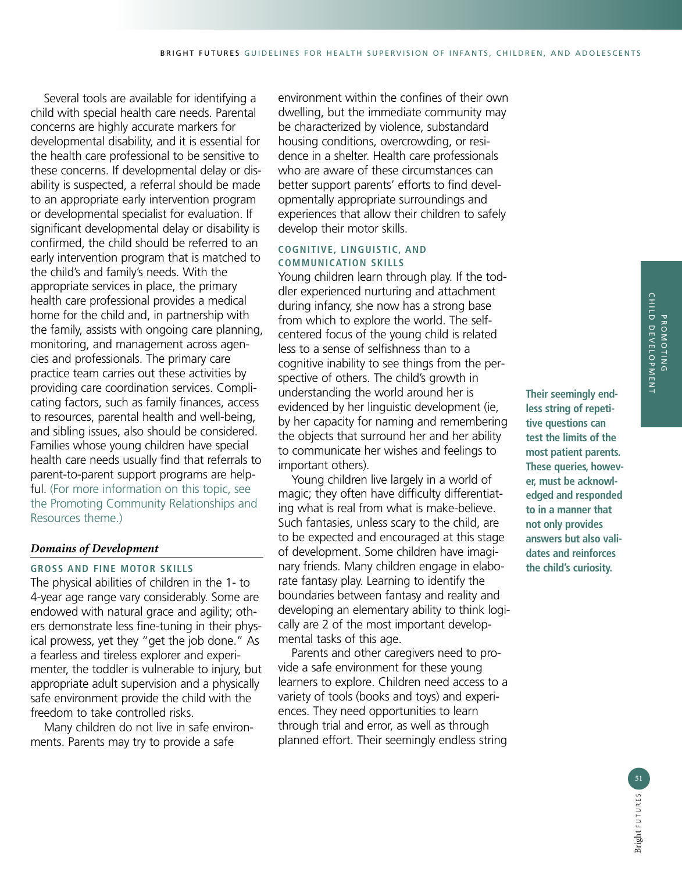Several tools are available for identifying a child with special health care needs. Parental concerns are highly accurate markers for developmental disability, and it is essential for the health care professional to be sensitive to these concerns. If developmental delay or disability is suspected, a referral should be made to an appropriate early intervention program or developmental specialist for evaluation. If significant developmental delay or disability is confirmed, the child should be referred to an early intervention program that is matched to the child's and family's needs. With the appropriate services in place, the primary health care professional provides a medical home for the child and, in partnership with the family, assists with ongoing care planning, monitoring, and management across agencies and professionals. The primary care practice team carries out these activities by providing care coordination services. Complicating factors, such as family finances, access to resources, parental health and well-being, and sibling issues, also should be considered. Families whose young children have special health care needs usually find that referrals to parent-to-parent support programs are helpful. (For more information on this topic, see the Promoting Community Relationships and Resources theme.)

#### *Domains of Development*

# **GROSS AND FINE MOTOR SKILLS**

The physical abilities of children in the 1- to 4-year age range vary considerably. Some are endowed with natural grace and agility; others demonstrate less fine-tuning in their physical prowess, yet they "get the job done." As a fearless and tireless explorer and experimenter, the toddler is vulnerable to injury, but appropriate adult supervision and a physically safe environment provide the child with the freedom to take controlled risks.

Many children do not live in safe environments. Parents may try to provide a safe

environment within the confines of their own dwelling, but the immediate community may be characterized by violence, substandard housing conditions, overcrowding, or residence in a shelter. Health care professionals who are aware of these circumstances can better support parents' efforts to find developmentally appropriate surroundings and experiences that allow their children to safely develop their motor skills.

# **COGNITIVE, LINGUISTIC, AND COMMUNICATION SKILLS**

Young children learn through play. If the toddler experienced nurturing and attachment during infancy, she now has a strong base from which to explore the world. The selfcentered focus of the young child is related less to a sense of selfishness than to a cognitive inability to see things from the perspective of others. The child's growth in understanding the world around her is evidenced by her linguistic development (ie, by her capacity for naming and remembering the objects that surround her and her ability to communicate her wishes and feelings to important others).

Young children live largely in a world of magic; they often have difficulty differentiating what is real from what is make-believe. Such fantasies, unless scary to the child, are to be expected and encouraged at this stage of development. Some children have imaginary friends. Many children engage in elaborate fantasy play. Learning to identify the boundaries between fantasy and reality and developing an elementary ability to think logically are 2 of the most important developmental tasks of this age.

Parents and other caregivers need to provide a safe environment for these young learners to explore. Children need access to a variety of tools (books and toys) and experiences. They need opportunities to learn through trial and error, as well as through planned effort. Their seemingly endless string

**Their seemingly endless string of repetitive questions can test the limits of the most patient parents. These queries, however, must be acknowledged and responded to in a manner that not only provides answers but also validates and reinforces the child's curiosity.**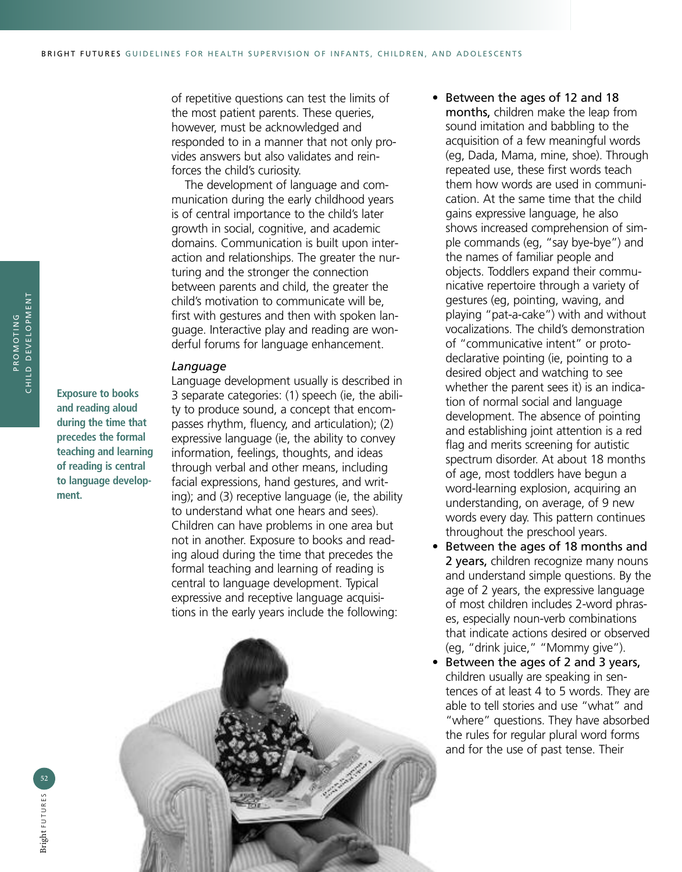of repetitive questions can test the limits of the most patient parents. These queries, however, must be acknowledged and responded to in a manner that not only provides answers but also validates and reinforces the child's curiosity.

The development of language and communication during the early childhood years is of central importance to the child's later growth in social, cognitive, and academic domains. Communication is built upon interaction and relationships. The greater the nurturing and the stronger the connection between parents and child, the greater the child's motivation to communicate will be, first with gestures and then with spoken language. Interactive play and reading are wonderful forums for language enhancement.

#### *Language*

Language development usually is described in 3 separate categories: (1) speech (ie, the ability to produce sound, a concept that encompasses rhythm, fluency, and articulation); (2) expressive language (ie, the ability to convey information, feelings, thoughts, and ideas through verbal and other means, including facial expressions, hand gestures, and writing); and (3) receptive language (ie, the ability to understand what one hears and sees). Children can have problems in one area but not in another. Exposure to books and reading aloud during the time that precedes the formal teaching and learning of reading is central to language development. Typical expressive and receptive language acquisitions in the early years include the following:



- Between the ages of 18 months and 2 years, children recognize many nouns and understand simple questions. By the age of 2 years, the expressive language of most children includes 2-word phrases, especially noun-verb combinations that indicate actions desired or observed (eg, "drink juice," "Mommy give").
- Between the ages of 2 and 3 years, children usually are speaking in sentences of at least 4 to 5 words. They are able to tell stories and use "what" and "where" questions. They have absorbed the rules for regular plural word forms and for the use of past tense. Their

**Exposure to books and reading aloud during the time that precedes the formal teaching and learning of reading is central**

P R O M O T I N G C H I L D D E V E L O P M E N T

CHILD DEVELOPMENT PROMOTING

**ment.**

**to language develop-**

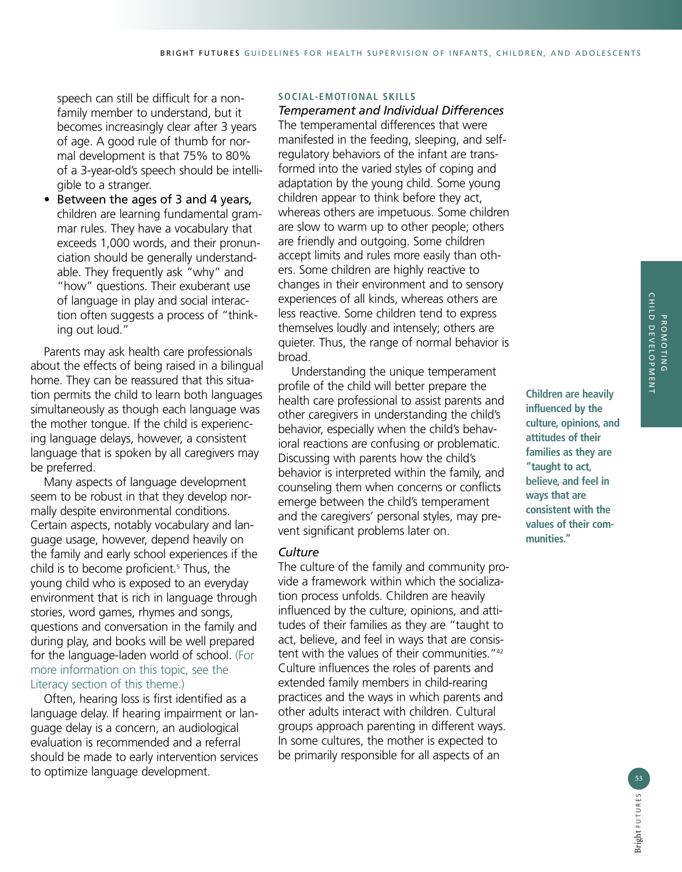speech can still be difficult for a nonfamily member to understand, but it becomes increasingly clear after 3 years of age. A good rule of thumb for normal development is that 75% to 80% of a 3-year-old's speech should be intelligible to a stranger.

• Between the ages of 3 and 4 years, children are learning fundamental grammar rules. They have a vocabulary that exceeds 1,000 words, and their pronunciation should be generally understandable. They frequently ask "why" and "how" questions. Their exuberant use of language in play and social interaction often suggests a process of "thinking out loud."

Parents may ask health care professionals about the effects of being raised in a bilingual home. They can be reassured that this situation permits the child to learn both languages simultaneously as though each language was the mother tongue. If the child is experiencing language delays, however, a consistent language that is spoken by all caregivers may be preferred.

Many aspects of language development seem to be robust in that they develop normally despite environmental conditions. Certain aspects, notably vocabulary and language usage, however, depend heavily on the family and early school experiences if the child is to become proficient.<sup>5</sup> Thus, the young child who is exposed to an everyday environment that is rich in language through stories, word games, rhymes and songs, questions and conversation in the family and during play, and books will be well prepared for the language-laden world of school. (For more information on this topic, see the Literacy section of this theme.)

Often, hearing loss is first identified as a language delay. If hearing impairment or language delay is a concern, an audiological evaluation is recommended and a referral should be made to early intervention services to optimize language development.

#### **SOCIAL-EMOTIONAL SKILLS**

*Temperament and Individual Differences* The temperamental differences that were

manifested in the feeding, sleeping, and selfregulatory behaviors of the infant are transformed into the varied styles of coping and adaptation by the young child. Some young children appear to think before they act, whereas others are impetuous. Some children are slow to warm up to other people; others are friendly and outgoing. Some children accept limits and rules more easily than others. Some children are highly reactive to changes in their environment and to sensory experiences of all kinds, whereas others are less reactive. Some children tend to express themselves loudly and intensely; others are quieter. Thus, the range of normal behavior is broad.

Understanding the unique temperament profile of the child will better prepare the health care professional to assist parents and other caregivers in understanding the child's behavior, especially when the child's behavioral reactions are confusing or problematic. Discussing with parents how the child's behavior is interpreted within the family, and counseling them when concerns or conflicts emerge between the child's temperament and the caregivers' personal styles, may prevent significant problems later on.

#### *Culture*

The culture of the family and community provide a framework within which the socialization process unfolds. Children are heavily influenced by the culture, opinions, and attitudes of their families as they are "taught to act, believe, and feel in ways that are consistent with the values of their communities."<sup>42</sup> Culture influences the roles of parents and extended family members in child-rearing practices and the ways in which parents and other adults interact with children. Cultural groups approach parenting in different ways. In some cultures, the mother is expected to be primarily responsible for all aspects of an

**Children are heavily influenced by the culture, opinions, and attitudes of their families as they are "taught to act, believe, and feel in ways that are consistent with the values of their communities."**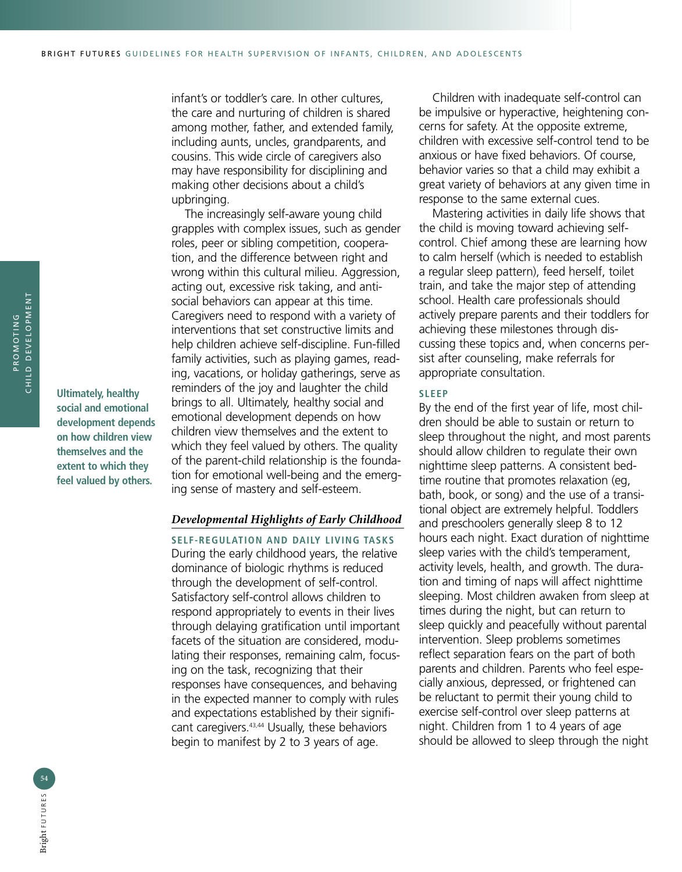infant's or toddler's care. In other cultures, the care and nurturing of children is shared among mother, father, and extended family, including aunts, uncles, grandparents, and cousins. This wide circle of caregivers also may have responsibility for disciplining and making other decisions about a child's upbringing.

The increasingly self-aware young child grapples with complex issues, such as gender roles, peer or sibling competition, cooperation, and the difference between right and wrong within this cultural milieu. Aggression, acting out, excessive risk taking, and antisocial behaviors can appear at this time. Caregivers need to respond with a variety of interventions that set constructive limits and help children achieve self-discipline. Fun-filled family activities, such as playing games, reading, vacations, or holiday gatherings, serve as reminders of the joy and laughter the child brings to all. Ultimately, healthy social and emotional development depends on how children view themselves and the extent to which they feel valued by others. The quality of the parent-child relationship is the foundation for emotional well-being and the emerging sense of mastery and self-esteem.

#### *Developmental Highlights of Early Childhood*

**SELF-REGULATION AND DAILY LIVING TASKS** During the early childhood years, the relative dominance of biologic rhythms is reduced through the development of self-control. Satisfactory self-control allows children to respond appropriately to events in their lives through delaying gratification until important facets of the situation are considered, modulating their responses, remaining calm, focusing on the task, recognizing that their responses have consequences, and behaving in the expected manner to comply with rules and expectations established by their significant caregivers.<sup>43,44</sup> Usually, these behaviors begin to manifest by 2 to 3 years of age.

Children with inadequate self-control can be impulsive or hyperactive, heightening concerns for safety. At the opposite extreme, children with excessive self-control tend to be anxious or have fixed behaviors. Of course, behavior varies so that a child may exhibit a great variety of behaviors at any given time in response to the same external cues.

Mastering activities in daily life shows that the child is moving toward achieving selfcontrol. Chief among these are learning how to calm herself (which is needed to establish a regular sleep pattern), feed herself, toilet train, and take the major step of attending school. Health care professionals should actively prepare parents and their toddlers for achieving these milestones through discussing these topics and, when concerns persist after counseling, make referrals for appropriate consultation.

#### **SLEEP**

By the end of the first year of life, most children should be able to sustain or return to sleep throughout the night, and most parents should allow children to regulate their own nighttime sleep patterns. A consistent bedtime routine that promotes relaxation (eg, bath, book, or song) and the use of a transitional object are extremely helpful. Toddlers and preschoolers generally sleep 8 to 12 hours each night. Exact duration of nighttime sleep varies with the child's temperament, activity levels, health, and growth. The duration and timing of naps will affect nighttime sleeping. Most children awaken from sleep at times during the night, but can return to sleep quickly and peacefully without parental intervention. Sleep problems sometimes reflect separation fears on the part of both parents and children. Parents who feel especially anxious, depressed, or frightened can be reluctant to permit their young child to exercise self-control over sleep patterns at night. Children from 1 to 4 years of age should be allowed to sleep through the night

**Ultimately, healthy social and emotional development depends on how children view themselves and the extent to which they feel valued by others.**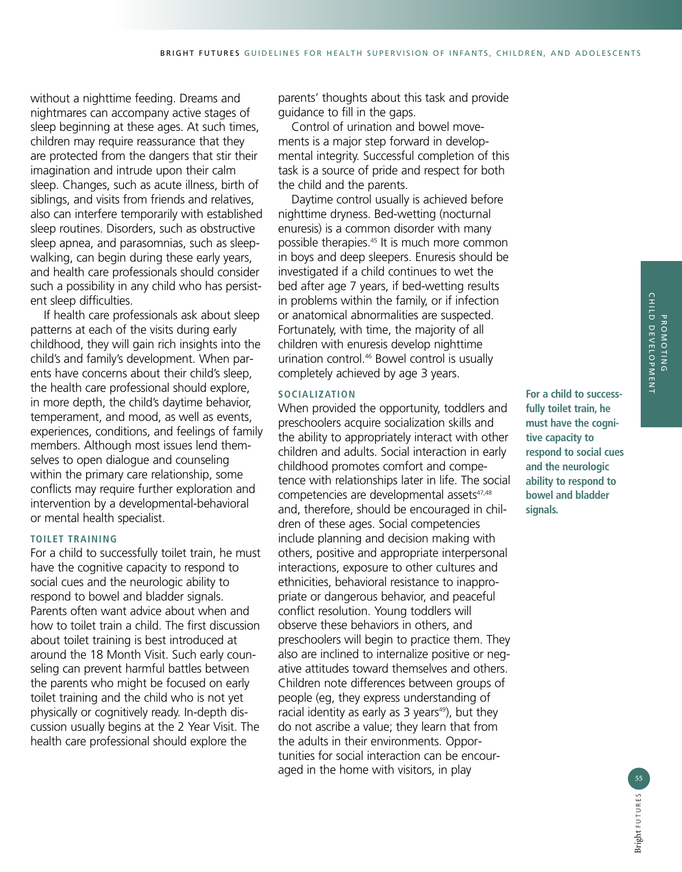without a nighttime feeding. Dreams and nightmares can accompany active stages of sleep beginning at these ages. At such times, children may require reassurance that they are protected from the dangers that stir their imagination and intrude upon their calm sleep. Changes, such as acute illness, birth of siblings, and visits from friends and relatives, also can interfere temporarily with established sleep routines. Disorders, such as obstructive sleep apnea, and parasomnias, such as sleepwalking, can begin during these early years, and health care professionals should consider such a possibility in any child who has persistent sleep difficulties.

If health care professionals ask about sleep patterns at each of the visits during early childhood, they will gain rich insights into the child's and family's development. When parents have concerns about their child's sleep, the health care professional should explore, in more depth, the child's daytime behavior, temperament, and mood, as well as events, experiences, conditions, and feelings of family members. Although most issues lend themselves to open dialogue and counseling within the primary care relationship, some conflicts may require further exploration and intervention by a developmental-behavioral or mental health specialist.

#### **TOILET TRAINING**

For a child to successfully toilet train, he must have the cognitive capacity to respond to social cues and the neurologic ability to respond to bowel and bladder signals. Parents often want advice about when and how to toilet train a child. The first discussion about toilet training is best introduced at around the 18 Month Visit. Such early counseling can prevent harmful battles between the parents who might be focused on early toilet training and the child who is not yet physically or cognitively ready. In-depth discussion usually begins at the 2 Year Visit. The health care professional should explore the

parents' thoughts about this task and provide guidance to fill in the gaps.

Control of urination and bowel movements is a major step forward in developmental integrity. Successful completion of this task is a source of pride and respect for both the child and the parents.

Daytime control usually is achieved before nighttime dryness. Bed-wetting (nocturnal enuresis) is a common disorder with many possible therapies.45 It is much more common in boys and deep sleepers. Enuresis should be investigated if a child continues to wet the bed after age 7 years, if bed-wetting results in problems within the family, or if infection or anatomical abnormalities are suspected. Fortunately, with time, the majority of all children with enuresis develop nighttime urination control.46 Bowel control is usually completely achieved by age 3 years.

#### **SOCIALIZATION**

When provided the opportunity, toddlers and preschoolers acquire socialization skills and the ability to appropriately interact with other children and adults. Social interaction in early childhood promotes comfort and competence with relationships later in life. The social competencies are developmental assets<sup>47,48</sup> and, therefore, should be encouraged in children of these ages. Social competencies include planning and decision making with others, positive and appropriate interpersonal interactions, exposure to other cultures and ethnicities, behavioral resistance to inappropriate or dangerous behavior, and peaceful conflict resolution. Young toddlers will observe these behaviors in others, and preschoolers will begin to practice them. They also are inclined to internalize positive or negative attitudes toward themselves and others. Children note differences between groups of people (eg, they express understanding of racial identity as early as 3 years<sup>49</sup>), but they do not ascribe a value; they learn that from the adults in their environments. Opportunities for social interaction can be encouraged in the home with visitors, in play

**For a child to successfully toilet train, he must have the cognitive capacity to respond to social cues and the neurologic ability to respond to bowel and bladder signals.**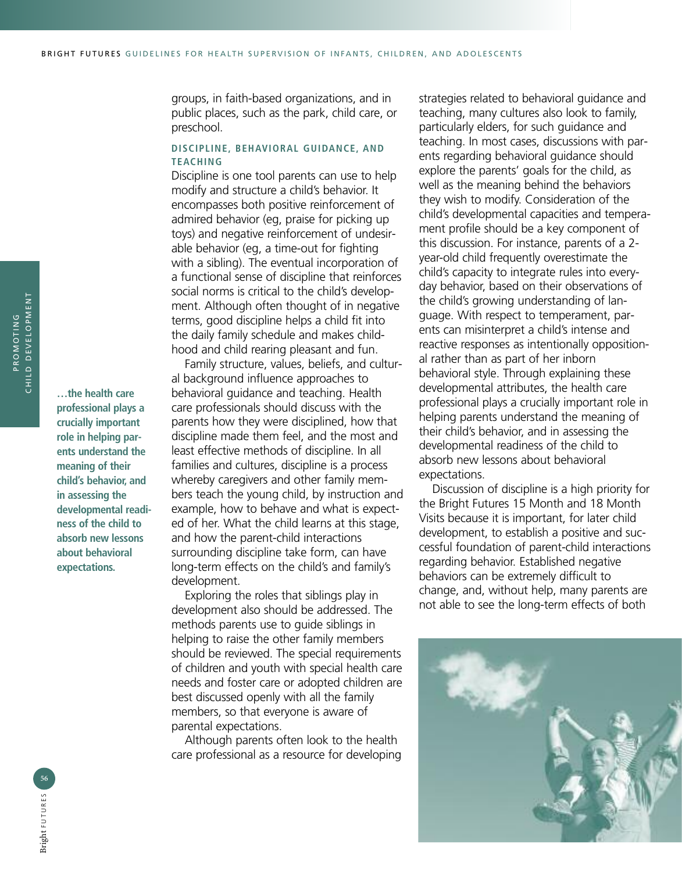groups, in faith-based organizations, and in public places, such as the park, child care, or preschool.

#### **DISCIPLINE, BEHAVIORAL GUIDANCE, AND TEACHING**

Discipline is one tool parents can use to help modify and structure a child's behavior. It encompasses both positive reinforcement of admired behavior (eg, praise for picking up toys) and negative reinforcement of undesirable behavior (eg, a time-out for fighting with a sibling). The eventual incorporation of a functional sense of discipline that reinforces social norms is critical to the child's development. Although often thought of in negative terms, good discipline helps a child fit into the daily family schedule and makes childhood and child rearing pleasant and fun.

Family structure, values, beliefs, and cultural background influence approaches to behavioral guidance and teaching. Health care professionals should discuss with the parents how they were disciplined, how that discipline made them feel, and the most and least effective methods of discipline. In all families and cultures, discipline is a process whereby caregivers and other family members teach the young child, by instruction and example, how to behave and what is expected of her. What the child learns at this stage, and how the parent-child interactions surrounding discipline take form, can have long-term effects on the child's and family's development.

Exploring the roles that siblings play in development also should be addressed. The methods parents use to guide siblings in helping to raise the other family members should be reviewed. The special requirements of children and youth with special health care needs and foster care or adopted children are best discussed openly with all the family members, so that everyone is aware of parental expectations.

Although parents often look to the health care professional as a resource for developing strategies related to behavioral guidance and teaching, many cultures also look to family, particularly elders, for such guidance and teaching. In most cases, discussions with parents regarding behavioral guidance should explore the parents' goals for the child, as well as the meaning behind the behaviors they wish to modify. Consideration of the child's developmental capacities and temperament profile should be a key component of this discussion. For instance, parents of a 2 year-old child frequently overestimate the child's capacity to integrate rules into everyday behavior, based on their observations of the child's growing understanding of language. With respect to temperament, parents can misinterpret a child's intense and reactive responses as intentionally oppositional rather than as part of her inborn behavioral style. Through explaining these developmental attributes, the health care professional plays a crucially important role in helping parents understand the meaning of their child's behavior, and in assessing the developmental readiness of the child to absorb new lessons about behavioral expectations.

Discussion of discipline is a high priority for the Bright Futures 15 Month and 18 Month Visits because it is important, for later child development, to establish a positive and successful foundation of parent-child interactions regarding behavior. Established negative behaviors can be extremely difficult to change, and, without help, many parents are not able to see the long-term effects of both



**…the health care professional plays a crucially important role in helping parents understand the meaning of their child's behavior, and in assessing the developmental readiness of the child to absorb new lessons about behavioral expectations.**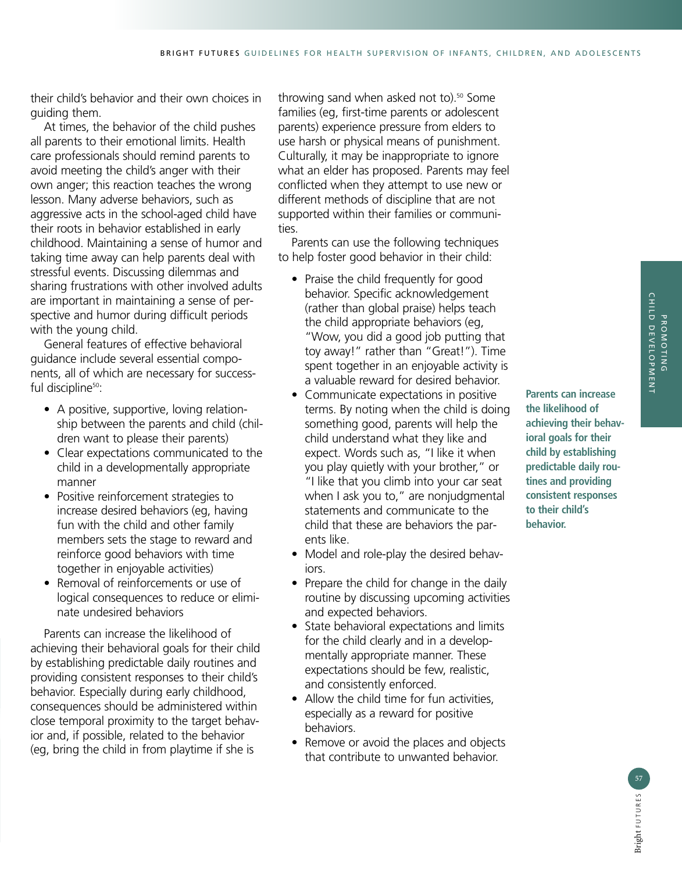their child's behavior and their own choices in guiding them.

At times, the behavior of the child pushes all parents to their emotional limits. Health care professionals should remind parents to avoid meeting the child's anger with their own anger; this reaction teaches the wrong lesson. Many adverse behaviors, such as aggressive acts in the school-aged child have their roots in behavior established in early childhood. Maintaining a sense of humor and taking time away can help parents deal with stressful events. Discussing dilemmas and sharing frustrations with other involved adults are important in maintaining a sense of perspective and humor during difficult periods with the young child.

General features of effective behavioral guidance include several essential components, all of which are necessary for successful discipline<sup>50</sup>:

- A positive, supportive, loving relationship between the parents and child (children want to please their parents)
- Clear expectations communicated to the child in a developmentally appropriate manner
- Positive reinforcement strategies to increase desired behaviors (eg, having fun with the child and other family members sets the stage to reward and reinforce good behaviors with time together in enjoyable activities)
- Removal of reinforcements or use of logical consequences to reduce or eliminate undesired behaviors

Parents can increase the likelihood of achieving their behavioral goals for their child by establishing predictable daily routines and providing consistent responses to their child's behavior. Especially during early childhood, consequences should be administered within close temporal proximity to the target behavior and, if possible, related to the behavior (eg, bring the child in from playtime if she is

throwing sand when asked not to). $50$  Some families (eg, first-time parents or adolescent parents) experience pressure from elders to use harsh or physical means of punishment. Culturally, it may be inappropriate to ignore what an elder has proposed. Parents may feel conflicted when they attempt to use new or different methods of discipline that are not supported within their families or communities.

Parents can use the following techniques to help foster good behavior in their child:

- Praise the child frequently for good behavior. Specific acknowledgement (rather than global praise) helps teach the child appropriate behaviors (eg, "Wow, you did a good job putting that toy away!" rather than "Great!"). Time spent together in an enjoyable activity is a valuable reward for desired behavior.
- Communicate expectations in positive terms. By noting when the child is doing something good, parents will help the child understand what they like and expect. Words such as, "I like it when you play quietly with your brother," or "I like that you climb into your car seat when I ask you to," are nonjudgmental statements and communicate to the child that these are behaviors the parents like.
- Model and role-play the desired behaviors.
- Prepare the child for change in the daily routine by discussing upcoming activities and expected behaviors.
- State behavioral expectations and limits for the child clearly and in a developmentally appropriate manner. These expectations should be few, realistic, and consistently enforced.
- Allow the child time for fun activities, especially as a reward for positive behaviors.
- Remove or avoid the places and objects that contribute to unwanted behavior.

**Parents can increase the likelihood of achieving their behavioral goals for their child by establishing predictable daily routines and providing consistent responses to their child's behavior.**

> **Bright FUTURES** Bright FU TURES

P R O N O T I N G C H I L D D E V E L O P M E N T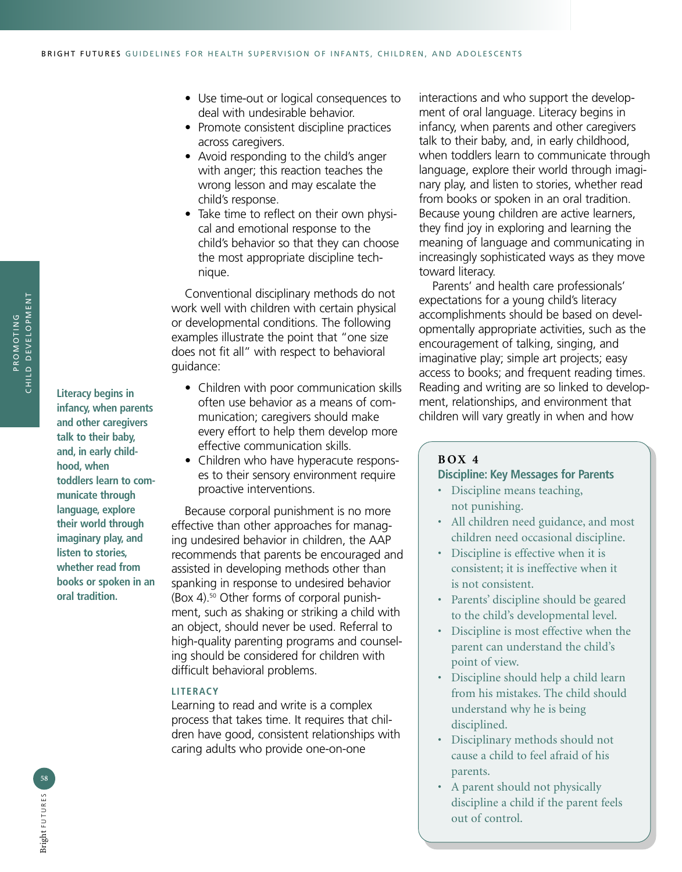**Literacy begins in infancy, when parents and other caregivers talk to their baby, and, in early childhood, when toddlers learn to communicate through language, explore their world through imaginary play, and listen to stories, whether read from books or spoken in an oral tradition.**

- Use time-out or logical consequences to deal with undesirable behavior.
- Promote consistent discipline practices across caregivers.
- Avoid responding to the child's anger with anger; this reaction teaches the wrong lesson and may escalate the child's response.
- Take time to reflect on their own physical and emotional response to the child's behavior so that they can choose the most appropriate discipline technique.

Conventional disciplinary methods do not work well with children with certain physical or developmental conditions. The following examples illustrate the point that "one size does not fit all" with respect to behavioral guidance:

- Children with poor communication skills often use behavior as a means of communication; caregivers should make every effort to help them develop more effective communication skills.
- Children who have hyperacute responses to their sensory environment require proactive interventions.

Because corporal punishment is no more effective than other approaches for managing undesired behavior in children, the AAP recommends that parents be encouraged and assisted in developing methods other than spanking in response to undesired behavior (Box 4).50 Other forms of corporal punishment, such as shaking or striking a child with an object, should never be used. Referral to high-quality parenting programs and counseling should be considered for children with difficult behavioral problems.

#### **LITERACY**

Learning to read and write is a complex process that takes time. It requires that children have good, consistent relationships with caring adults who provide one-on-one

interactions and who support the development of oral language. Literacy begins in infancy, when parents and other caregivers talk to their baby, and, in early childhood, when toddlers learn to communicate through language, explore their world through imaginary play, and listen to stories, whether read from books or spoken in an oral tradition. Because young children are active learners, they find joy in exploring and learning the meaning of language and communicating in increasingly sophisticated ways as they move toward literacy.

Parents' and health care professionals' expectations for a young child's literacy accomplishments should be based on developmentally appropriate activities, such as the encouragement of talking, singing, and imaginative play; simple art projects; easy access to books; and frequent reading times. Reading and writing are so linked to development, relationships, and environment that children will vary greatly in when and how

## **B OX 4**

#### **Discipline: Key Messages for Parents**

- Discipline means teaching, not punishing.
- All children need guidance, and most children need occasional discipline.
- Discipline is effective when it is consistent; it is ineffective when it is not consistent.
- Parents' discipline should be geared to the child's developmental level.
- Discipline is most effective when the parent can understand the child's point of view.
- Discipline should help a child learn from his mistakes. The child should understand why he is being disciplined.
- Disciplinary methods should not cause a child to feel afraid of his parents.
- A parent should not physically discipline a child if the parent feels out of control.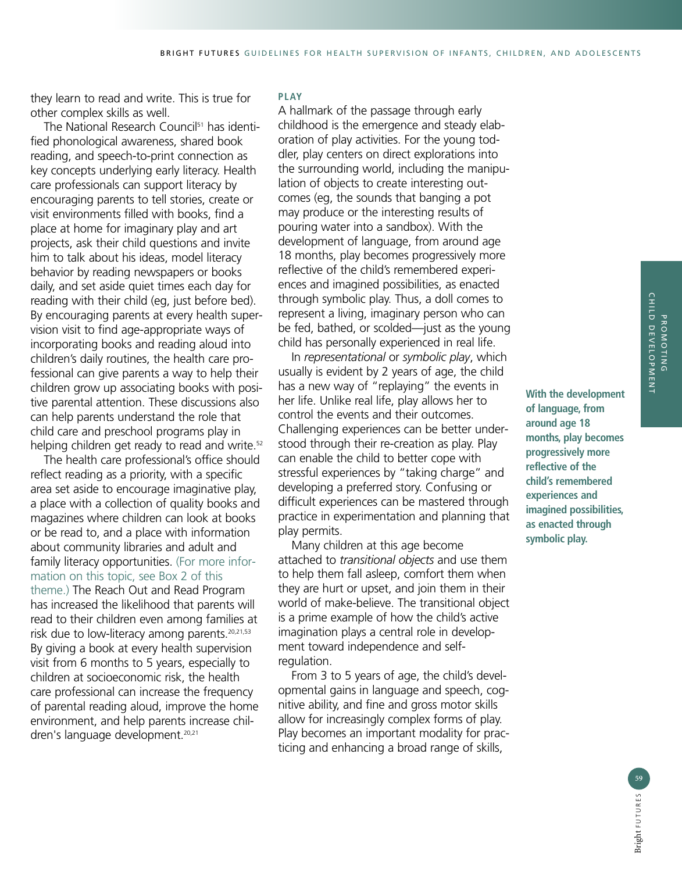they learn to read and write. This is true for other complex skills as well.

The National Research Council<sup>51</sup> has identified phonological awareness, shared book reading, and speech-to-print connection as key concepts underlying early literacy. Health care professionals can support literacy by encouraging parents to tell stories, create or visit environments filled with books, find a place at home for imaginary play and art projects, ask their child questions and invite him to talk about his ideas, model literacy behavior by reading newspapers or books daily, and set aside quiet times each day for reading with their child (eg, just before bed). By encouraging parents at every health supervision visit to find age-appropriate ways of incorporating books and reading aloud into children's daily routines, the health care professional can give parents a way to help their children grow up associating books with positive parental attention. These discussions also can help parents understand the role that child care and preschool programs play in helping children get ready to read and write.<sup>52</sup>

The health care professional's office should reflect reading as a priority, with a specific area set aside to encourage imaginative play, a place with a collection of quality books and magazines where children can look at books or be read to, and a place with information about community libraries and adult and family literacy opportunities. (For more information on this topic, see Box 2 of this theme.) The Reach Out and Read Program has increased the likelihood that parents will read to their children even among families at risk due to low-literacy among parents.<sup>20,21,53</sup> By giving a book at every health supervision visit from 6 months to 5 years, especially to children at socioeconomic risk, the health care professional can increase the frequency of parental reading aloud, improve the home environment, and help parents increase children's language development.<sup>20,21</sup>

# **PLAY**

A hallmark of the passage through early childhood is the emergence and steady elaboration of play activities. For the young toddler, play centers on direct explorations into the surrounding world, including the manipulation of objects to create interesting outcomes (eg, the sounds that banging a pot may produce or the interesting results of pouring water into a sandbox). With the development of language, from around age 18 months, play becomes progressively more reflective of the child's remembered experiences and imagined possibilities, as enacted through symbolic play. Thus, a doll comes to represent a living, imaginary person who can be fed, bathed, or scolded—just as the young child has personally experienced in real life.

In *representational* or *symbolic play*, which usually is evident by 2 years of age, the child has a new way of "replaying" the events in her life. Unlike real life, play allows her to control the events and their outcomes. Challenging experiences can be better understood through their re-creation as play. Play can enable the child to better cope with stressful experiences by "taking charge" and developing a preferred story. Confusing or difficult experiences can be mastered through practice in experimentation and planning that play permits.

Many children at this age become attached to *transitional objects* and use them to help them fall asleep, comfort them when they are hurt or upset, and join them in their world of make-believe. The transitional object is a prime example of how the child's active imagination plays a central role in development toward independence and selfregulation.

From 3 to 5 years of age, the child's developmental gains in language and speech, cognitive ability, and fine and gross motor skills allow for increasingly complex forms of play. Play becomes an important modality for practicing and enhancing a broad range of skills,

**With the development of language, from around age 18 months, play becomes progressively more reflective of the child's remembered experiences and imagined possibilities, as enacted through symbolic play.**

P R O N O T I N G C H I L D D E V E L O P M E N T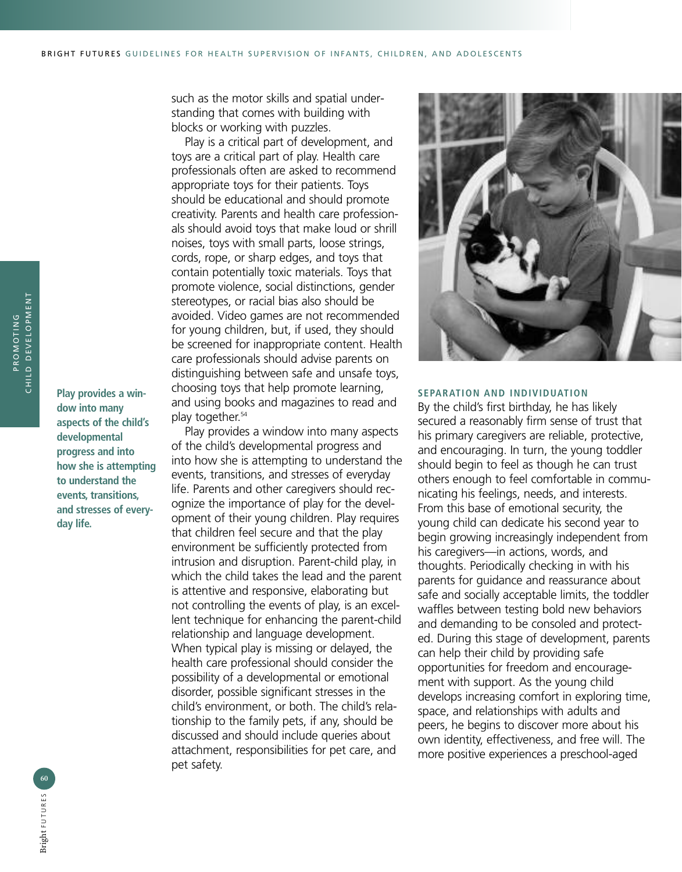such as the motor skills and spatial understanding that comes with building with blocks or working with puzzles.

Play is a critical part of development, and toys are a critical part of play. Health care professionals often are asked to recommend appropriate toys for their patients. Toys should be educational and should promote creativity. Parents and health care professionals should avoid toys that make loud or shrill noises, toys with small parts, loose strings, cords, rope, or sharp edges, and toys that contain potentially toxic materials. Toys that promote violence, social distinctions, gender stereotypes, or racial bias also should be avoided. Video games are not recommended for young children, but, if used, they should be screened for inappropriate content. Health care professionals should advise parents on distinguishing between safe and unsafe toys, choosing toys that help promote learning, and using books and magazines to read and play together.<sup>54</sup>

Play provides a window into many aspects of the child's developmental progress and into how she is attempting to understand the events, transitions, and stresses of everyday life. Parents and other caregivers should recognize the importance of play for the development of their young children. Play requires that children feel secure and that the play environment be sufficiently protected from intrusion and disruption. Parent-child play, in which the child takes the lead and the parent is attentive and responsive, elaborating but not controlling the events of play, is an excellent technique for enhancing the parent-child relationship and language development. When typical play is missing or delayed, the health care professional should consider the possibility of a developmental or emotional disorder, possible significant stresses in the child's environment, or both. The child's relationship to the family pets, if any, should be discussed and should include queries about attachment, responsibilities for pet care, and pet safety.



#### **SEPARATION AND INDIVIDUATION**

By the child's first birthday, he has likely secured a reasonably firm sense of trust that his primary caregivers are reliable, protective, and encouraging. In turn, the young toddler should begin to feel as though he can trust others enough to feel comfortable in communicating his feelings, needs, and interests. From this base of emotional security, the young child can dedicate his second year to begin growing increasingly independent from his caregivers—in actions, words, and thoughts. Periodically checking in with his parents for guidance and reassurance about safe and socially acceptable limits, the toddler waffles between testing bold new behaviors and demanding to be consoled and protected. During this stage of development, parents can help their child by providing safe opportunities for freedom and encouragement with support. As the young child develops increasing comfort in exploring time, space, and relationships with adults and peers, he begins to discover more about his own identity, effectiveness, and free will. The more positive experiences a preschool-aged

**Play provides a window into many aspects of the child's developmental progress and into how she is attempting to understand the events, transitions, and stresses of everyday life.**

CHILD DEVELOPMENT C H I L D D E V E L O P M E N TPROMOTING P R O M O T I N G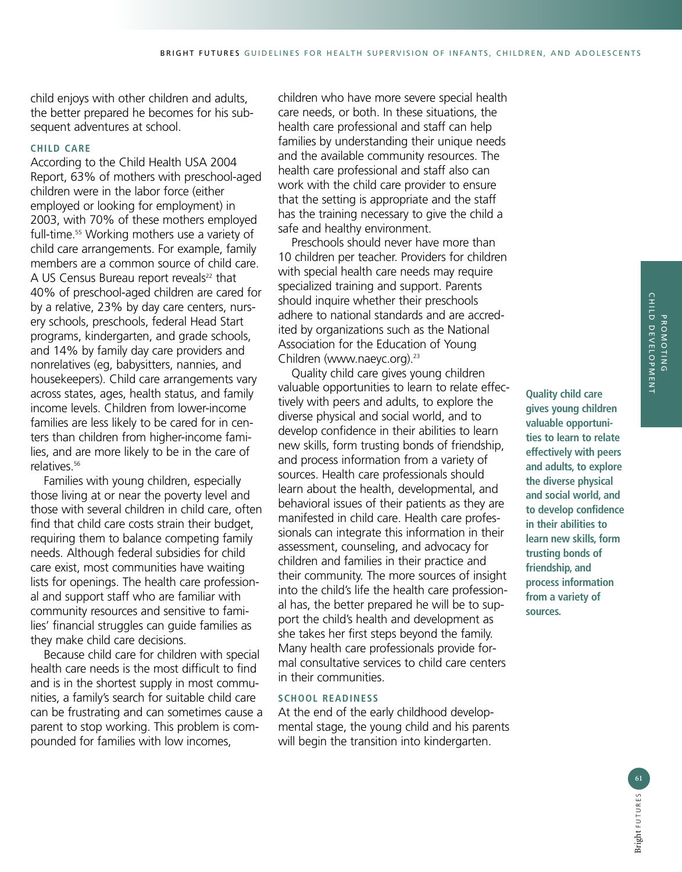child enjoys with other children and adults, the better prepared he becomes for his subsequent adventures at school.

#### **CHILD CARE**

According to the Child Health USA 2004 Report, 63% of mothers with preschool-aged children were in the labor force (either employed or looking for employment) in 2003, with 70% of these mothers employed full-time.<sup>55</sup> Working mothers use a variety of child care arrangements. For example, family members are a common source of child care. A US Census Bureau report reveals<sup>22</sup> that 40% of preschool-aged children are cared for by a relative, 23% by day care centers, nursery schools, preschools, federal Head Start programs, kindergarten, and grade schools, and 14% by family day care providers and nonrelatives (eg, babysitters, nannies, and housekeepers). Child care arrangements vary across states, ages, health status, and family income levels. Children from lower-income families are less likely to be cared for in centers than children from higher-income families, and are more likely to be in the care of relatives<sup>56</sup>

Families with young children, especially those living at or near the poverty level and those with several children in child care, often find that child care costs strain their budget, requiring them to balance competing family needs. Although federal subsidies for child care exist, most communities have waiting lists for openings. The health care professional and support staff who are familiar with community resources and sensitive to families' financial struggles can guide families as they make child care decisions.

Because child care for children with special health care needs is the most difficult to find and is in the shortest supply in most communities, a family's search for suitable child care can be frustrating and can sometimes cause a parent to stop working. This problem is compounded for families with low incomes,

children who have more severe special health care needs, or both. In these situations, the health care professional and staff can help families by understanding their unique needs and the available community resources. The health care professional and staff also can work with the child care provider to ensure that the setting is appropriate and the staff has the training necessary to give the child a safe and healthy environment.

Preschools should never have more than 10 children per teacher. Providers for children with special health care needs may require specialized training and support. Parents should inquire whether their preschools adhere to national standards and are accredited by organizations such as the National Association for the Education of Young Children (www.naeyc.org).23

Quality child care gives young children valuable opportunities to learn to relate effectively with peers and adults, to explore the diverse physical and social world, and to develop confidence in their abilities to learn new skills, form trusting bonds of friendship, and process information from a variety of sources. Health care professionals should learn about the health, developmental, and behavioral issues of their patients as they are manifested in child care. Health care professionals can integrate this information in their assessment, counseling, and advocacy for children and families in their practice and their community. The more sources of insight into the child's life the health care professional has, the better prepared he will be to support the child's health and development as she takes her first steps beyond the family. Many health care professionals provide formal consultative services to child care centers in their communities.

#### **SCHOOL READINESS**

At the end of the early childhood developmental stage, the young child and his parents will begin the transition into kindergarten.

**Quality child care gives young children valuable opportunities to learn to relate effectively with peers and adults, to explore the diverse physical and social world, and to develop confidence in their abilities to learn new skills, form trusting bonds of friendship, and process information from a variety of sources.**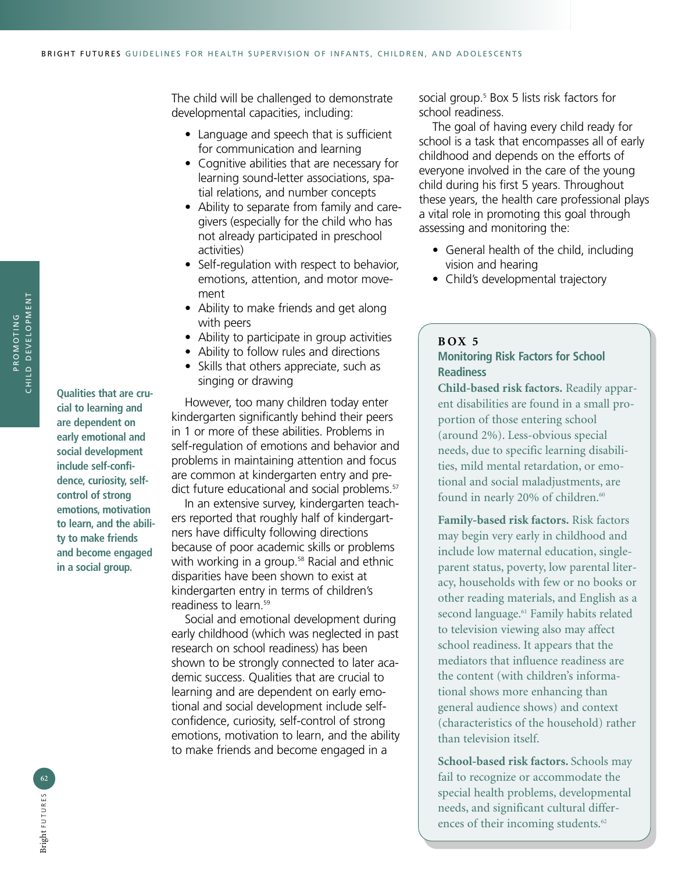The child will be challenged to demonstrate developmental capacities, including:

- Language and speech that is sufficient for communication and learning
- Cognitive abilities that are necessary for learning sound-letter associations, spatial relations, and number concepts
- Ability to separate from family and caregivers (especially for the child who has not already participated in preschool activities)
- Self-regulation with respect to behavior, emotions, attention, and motor movement
- Ability to make friends and get along with peers
- Ability to participate in group activities
- Ability to follow rules and directions
- Skills that others appreciate, such as singing or drawing

However, too many children today enter kindergarten significantly behind their peers in 1 or more of these abilities. Problems in self-regulation of emotions and behavior and problems in maintaining attention and focus are common at kindergarten entry and predict future educational and social problems.<sup>57</sup>

In an extensive survey, kindergarten teachers reported that roughly half of kindergartners have difficulty following directions because of poor academic skills or problems with working in a group.<sup>58</sup> Racial and ethnic disparities have been shown to exist at kindergarten entry in terms of children's readiness to learn.59

Social and emotional development during early childhood (which was neglected in past research on school readiness) has been shown to be strongly connected to later academic success. Qualities that are crucial to learning and are dependent on early emotional and social development include selfconfidence, curiosity, self-control of strong emotions, motivation to learn, and the ability to make friends and become engaged in a

social group.<sup>5</sup> Box 5 lists risk factors for school readiness.

The goal of having every child ready for school is a task that encompasses all of early childhood and depends on the efforts of everyone involved in the care of the young child during his first 5 years. Throughout these years, the health care professional plays a vital role in promoting this goal through assessing and monitoring the:

- General health of the child, including vision and hearing
- Child's developmental trajectory

# **B OX 5 Monitoring Risk Factors for School Readiness**

**Child-based risk factors.** Readily apparent disabilities are found in a small proportion of those entering school (around 2%). Less-obvious special needs, due to specific learning disabilities, mild mental retardation, or emotional and social maladjustments, are found in nearly 20% of children.<sup>60</sup>

**Family-based risk factors.** Risk factors may begin very early in childhood and include low maternal education, singleparent status, poverty, low parental literacy, households with few or no books or other reading materials, and English as a second language.<sup>61</sup> Family habits related to television viewing also may affect school readiness. It appears that the mediators that influence readiness are the content (with children's informational shows more enhancing than general audience shows) and context (characteristics of the household) rather than television itself.

**School-based risk factors.** Schools may fail to recognize or accommodate the special health problems, developmental needs, and significant cultural differences of their incoming students.<sup>62</sup>

**Qualities that are crucial to learning and are dependent on early emotional and social development include self-confidence, curiosity, selfcontrol of strong emotions, motivation to learn, and the ability to make friends and become engaged in a social group.**

CHILD DEVELOPMENT C H I L D D E V E L O P M E N TPROMOTING P R O M O T I N G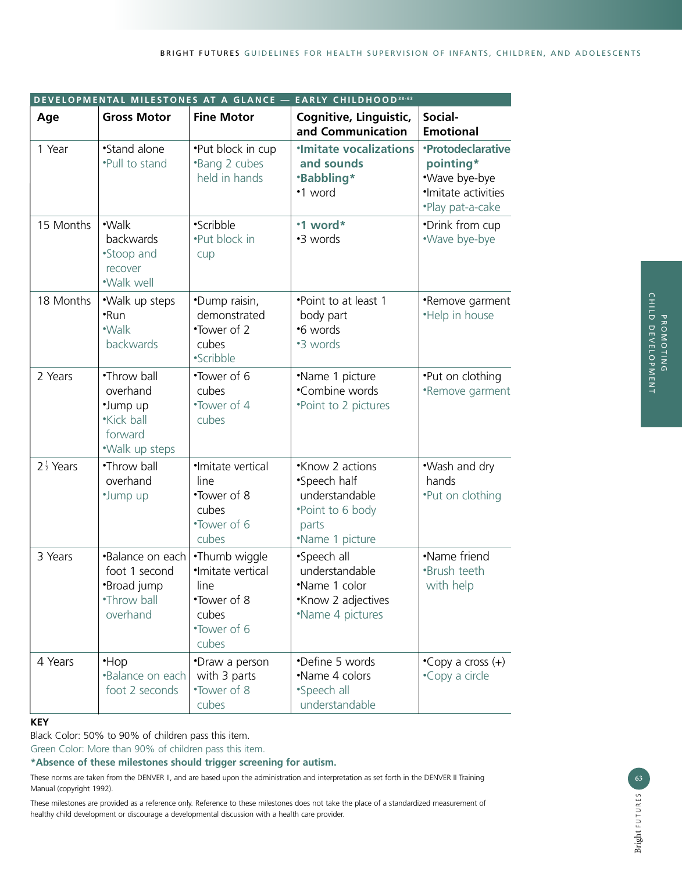| DEVELOPMENTAL MILESTONES AT A GLANCE - EARLY CHILDHOOD38-63 |                                                                                       |                                                                                            |                                                                                                   |                                                                                                   |
|-------------------------------------------------------------|---------------------------------------------------------------------------------------|--------------------------------------------------------------------------------------------|---------------------------------------------------------------------------------------------------|---------------------------------------------------------------------------------------------------|
| Age                                                         | <b>Gross Motor</b>                                                                    | <b>Fine Motor</b>                                                                          | Cognitive, Linguistic,<br>and Communication                                                       | Social-<br><b>Emotional</b>                                                                       |
| 1 Year                                                      | •Stand alone<br>•Pull to stand                                                        | •Put block in cup<br>•Bang 2 cubes<br>held in hands                                        | <b>·Imitate vocalizations</b><br>and sounds<br>*Babbling*<br>•1 word                              | <b>•Protodeclarative</b><br>pointing*<br>•Wave bye-bye<br>·Imitate activities<br>•Play pat-a-cake |
| 15 Months                                                   | •Walk<br>backwards<br>•Stoop and<br>recover<br>·Walk well                             | <i>•Scribble</i><br>•Put block in<br>cup                                                   | *1 word*<br>•3 words                                                                              | *Drink from cup<br>•Wave bye-bye                                                                  |
| 18 Months                                                   | .Walk up steps<br>•Run<br>·Walk<br>backwards                                          | •Dump raisin,<br>demonstrated<br>•Tower of 2<br>cubes<br><i>•Scribble</i>                  | •Point to at least 1<br>body part<br>•6 words<br>•3 words                                         | •Remove garment<br>•Help in house                                                                 |
| 2 Years                                                     | •Throw ball<br>overhand<br>·Jump up<br><b>·Kick ball</b><br>forward<br>.Walk up steps | •Tower of 6<br>cubes<br>•Tower of 4<br>cubes                                               | •Name 1 picture<br>•Combine words<br>*Point to 2 pictures                                         | •Put on clothing<br>•Remove garment                                                               |
| $2^{\frac{1}{2}}$ Years                                     | •Throw ball<br>overhand<br>·Jump up                                                   | ·Imitate vertical<br>line<br>•Tower of 8<br>cubes<br>•Tower of 6<br>cubes                  | •Know 2 actions<br>•Speech half<br>understandable<br>•Point to 6 body<br>parts<br>•Name 1 picture | •Wash and dry<br>hands<br>•Put on clothing                                                        |
| 3 Years                                                     | *Balance on each<br>foot 1 second<br><b>*Broad jump</b><br>•Throw ball<br>overhand    | •Thumb wiggle<br>·Imitate vertical<br>line<br>•Tower of 8<br>cubes<br>•Tower of 6<br>cubes | •Speech all<br>understandable<br>•Name 1 color<br>•Know 2 adjectives<br>•Name 4 pictures          | •Name friend<br>•Brush teeth<br>with help                                                         |
| 4 Years                                                     | •Hop<br>*Balance on each<br>foot 2 seconds                                            | •Draw a person<br>with 3 parts<br>•Tower of 8<br>cubes                                     | •Define 5 words<br>•Name 4 colors<br>•Speech all<br>understandable                                | • Copy a cross $(+)$<br>•Copy a circle                                                            |

## **KEY**

Black Color: 50% to 90% of children pass this item.

Green Color: More than 90% of children pass this item.

**\*Absence of these milestones should trigger screening for autism.**

These norms are taken from the DENVER II, and are based upon the administration and interpretation as set forth in the DENVER II Training Manual (copyright 1992).

These milestones are provided as a reference only. Reference to these milestones does not take the place of a standardized measurement of healthy child development or discourage a developmental discussion with a health care provider.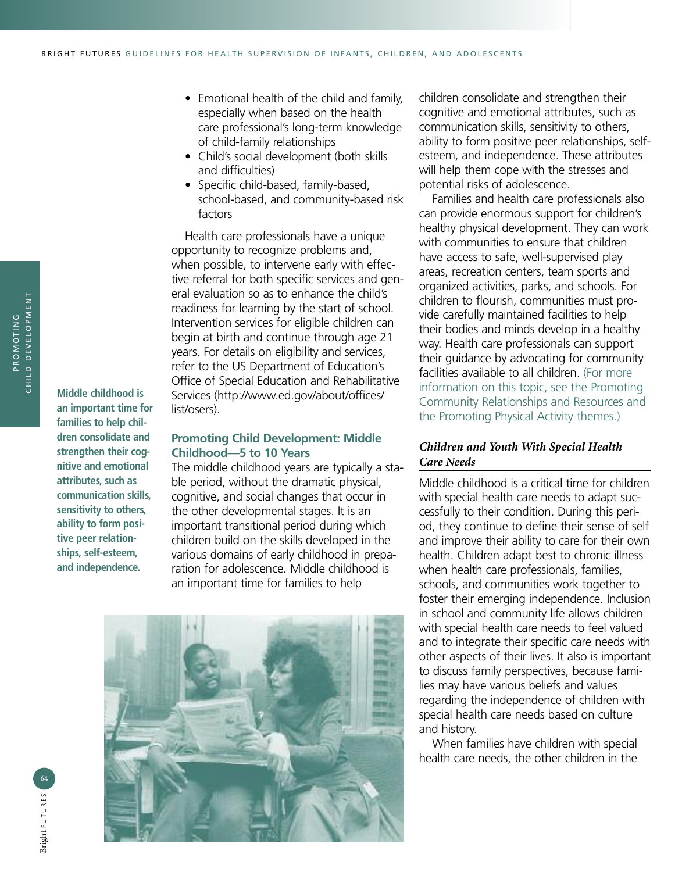**Middle childhood is an important time for families to help children consolidate and strengthen their cognitive and emotional attributes, such as communication skills, sensitivity to others, ability to form positive peer relationships, self-esteem, and independence.**

- Emotional health of the child and family, especially when based on the health care professional's long-term knowledge of child-family relationships
- Child's social development (both skills and difficulties)
- Specific child-based, family-based, school-based, and community-based risk factors

Health care professionals have a unique opportunity to recognize problems and, when possible, to intervene early with effective referral for both specific services and general evaluation so as to enhance the child's readiness for learning by the start of school. Intervention services for eligible children can begin at birth and continue through age 21 years. For details on eligibility and services, refer to the US Department of Education's Office of Special Education and Rehabilitative Services (http://www.ed.gov/about/offices/ list/osers).

# **Promoting Child Development: Middle Childhood—5 to 10 Years**

The middle childhood years are typically a stable period, without the dramatic physical, cognitive, and social changes that occur in the other developmental stages. It is an important transitional period during which children build on the skills developed in the various domains of early childhood in preparation for adolescence. Middle childhood is an important time for families to help



children consolidate and strengthen their cognitive and emotional attributes, such as communication skills, sensitivity to others, ability to form positive peer relationships, selfesteem, and independence. These attributes will help them cope with the stresses and potential risks of adolescence.

Families and health care professionals also can provide enormous support for children's healthy physical development. They can work with communities to ensure that children have access to safe, well-supervised play areas, recreation centers, team sports and organized activities, parks, and schools. For children to flourish, communities must provide carefully maintained facilities to help their bodies and minds develop in a healthy way. Health care professionals can support their guidance by advocating for community facilities available to all children. (For more information on this topic, see the Promoting Community Relationships and Resources and the Promoting Physical Activity themes.)

# *Children and Youth With Special Health Care Needs*

Middle childhood is a critical time for children with special health care needs to adapt successfully to their condition. During this period, they continue to define their sense of self and improve their ability to care for their own health. Children adapt best to chronic illness when health care professionals, families, schools, and communities work together to foster their emerging independence. Inclusion in school and community life allows children with special health care needs to feel valued and to integrate their specific care needs with other aspects of their lives. It also is important to discuss family perspectives, because families may have various beliefs and values regarding the independence of children with special health care needs based on culture and history.

When families have children with special health care needs, the other children in the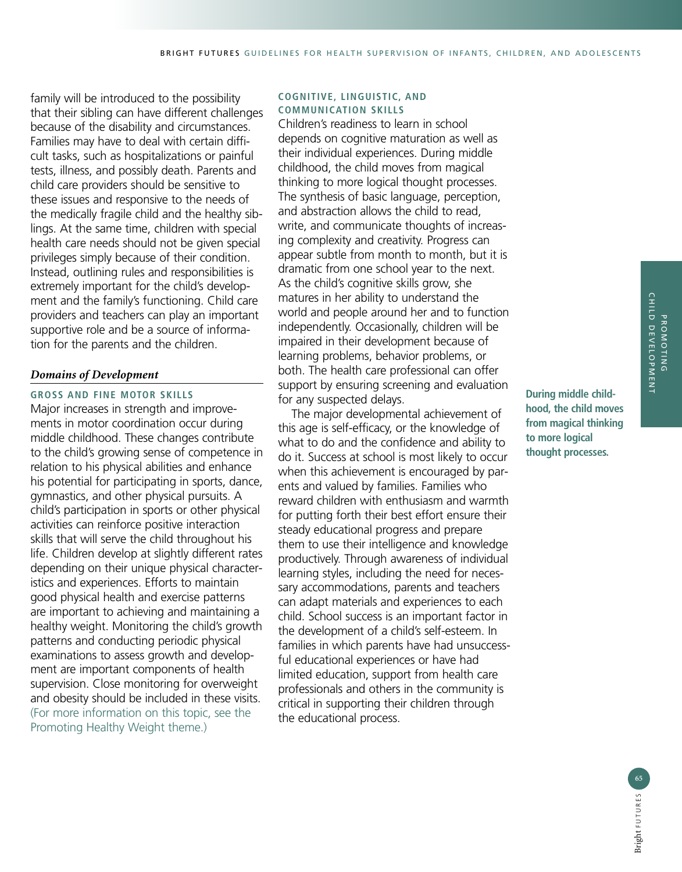family will be introduced to the possibility that their sibling can have different challenges because of the disability and circumstances. Families may have to deal with certain difficult tasks, such as hospitalizations or painful tests, illness, and possibly death. Parents and child care providers should be sensitive to these issues and responsive to the needs of the medically fragile child and the healthy siblings. At the same time, children with special health care needs should not be given special privileges simply because of their condition. Instead, outlining rules and responsibilities is extremely important for the child's development and the family's functioning. Child care providers and teachers can play an important supportive role and be a source of information for the parents and the children.

#### *Domains of Development*

## **GROSS AND FINE MOTOR SKILLS**

Major increases in strength and improvements in motor coordination occur during middle childhood. These changes contribute to the child's growing sense of competence in relation to his physical abilities and enhance his potential for participating in sports, dance, gymnastics, and other physical pursuits. A child's participation in sports or other physical activities can reinforce positive interaction skills that will serve the child throughout his life. Children develop at slightly different rates depending on their unique physical characteristics and experiences. Efforts to maintain good physical health and exercise patterns are important to achieving and maintaining a healthy weight. Monitoring the child's growth patterns and conducting periodic physical examinations to assess growth and development are important components of health supervision. Close monitoring for overweight and obesity should be included in these visits. (For more information on this topic, see the Promoting Healthy Weight theme.)

# **COGNITIVE, LINGUISTIC, AND COMMUNICATION SKILLS**

Children's readiness to learn in school depends on cognitive maturation as well as their individual experiences. During middle childhood, the child moves from magical thinking to more logical thought processes. The synthesis of basic language, perception, and abstraction allows the child to read, write, and communicate thoughts of increasing complexity and creativity. Progress can appear subtle from month to month, but it is dramatic from one school year to the next. As the child's cognitive skills grow, she matures in her ability to understand the world and people around her and to function independently. Occasionally, children will be impaired in their development because of learning problems, behavior problems, or both. The health care professional can offer support by ensuring screening and evaluation for any suspected delays.

The major developmental achievement of this age is self-efficacy, or the knowledge of what to do and the confidence and ability to do it. Success at school is most likely to occur when this achievement is encouraged by parents and valued by families. Families who reward children with enthusiasm and warmth for putting forth their best effort ensure their steady educational progress and prepare them to use their intelligence and knowledge productively. Through awareness of individual learning styles, including the need for necessary accommodations, parents and teachers can adapt materials and experiences to each child. School success is an important factor in the development of a child's self-esteem. In families in which parents have had unsuccessful educational experiences or have had limited education, support from health care professionals and others in the community is critical in supporting their children through the educational process.

**During middle childhood, the child moves from magical thinking to more logical thought processes.**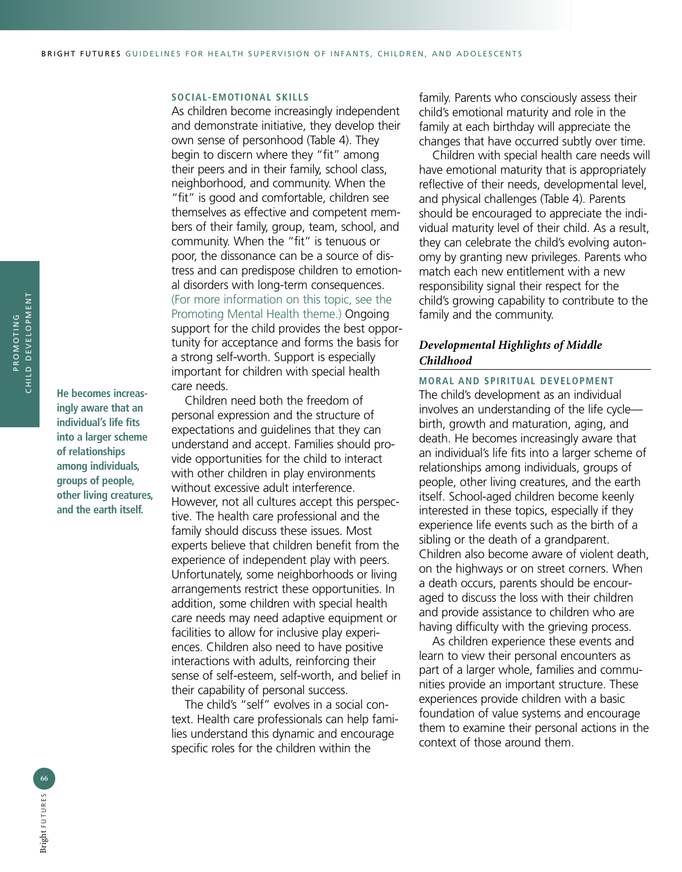#### **SOCIAL-EMOTIONAL SKILLS**

As children become increasingly independent and demonstrate initiative, they develop their own sense of personhood (Table 4). They begin to discern where they "fit" among their peers and in their family, school class, neighborhood, and community. When the "fit" is good and comfortable, children see themselves as effective and competent members of their family, group, team, school, and community. When the "fit" is tenuous or poor, the dissonance can be a source of distress and can predispose children to emotional disorders with long-term consequences. (For more information on this topic, see the Promoting Mental Health theme.) Ongoing support for the child provides the best opportunity for acceptance and forms the basis for a strong self-worth. Support is especially important for children with special health care needs.

Children need both the freedom of personal expression and the structure of expectations and guidelines that they can understand and accept. Families should provide opportunities for the child to interact with other children in play environments without excessive adult interference. However, not all cultures accept this perspective. The health care professional and the family should discuss these issues. Most experts believe that children benefit from the experience of independent play with peers. Unfortunately, some neighborhoods or living arrangements restrict these opportunities. In addition, some children with special health care needs may need adaptive equipment or facilities to allow for inclusive play experiences. Children also need to have positive interactions with adults, reinforcing their sense of self-esteem, self-worth, and belief in their capability of personal success.

The child's "self" evolves in a social context. Health care professionals can help families understand this dynamic and encourage specific roles for the children within the

family. Parents who consciously assess their child's emotional maturity and role in the family at each birthday will appreciate the changes that have occurred subtly over time.

Children with special health care needs will have emotional maturity that is appropriately reflective of their needs, developmental level, and physical challenges (Table 4). Parents should be encouraged to appreciate the individual maturity level of their child. As a result, they can celebrate the child's evolving autonomy by granting new privileges. Parents who match each new entitlement with a new responsibility signal their respect for the child's growing capability to contribute to the family and the community.

# *Developmental Highlights of Middle Childhood*

**MORAL AND SPIRITUAL DEVELOPMENT** The child's development as an individual involves an understanding of the life cycle birth, growth and maturation, aging, and death. He becomes increasingly aware that an individual's life fits into a larger scheme of relationships among individuals, groups of people, other living creatures, and the earth itself. School-aged children become keenly interested in these topics, especially if they experience life events such as the birth of a sibling or the death of a grandparent. Children also become aware of violent death, on the highways or on street corners. When a death occurs, parents should be encouraged to discuss the loss with their children and provide assistance to children who are having difficulty with the grieving process.

As children experience these events and learn to view their personal encounters as part of a larger whole, families and communities provide an important structure. These experiences provide children with a basic foundation of value systems and encourage them to examine their personal actions in the context of those around them.

**He becomes increasingly aware that an individual's life fits into a larger scheme of relationships among individuals, groups of people, other living creatures, and the earth itself.**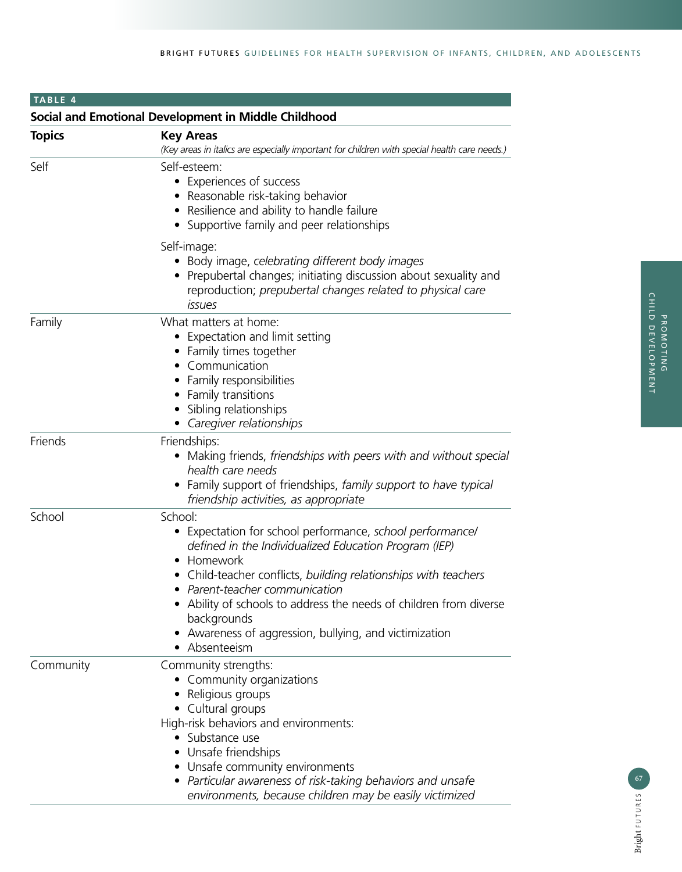| TABLE 4       |                                                                                                                                                                                                                                                                                                                                                                                                              |
|---------------|--------------------------------------------------------------------------------------------------------------------------------------------------------------------------------------------------------------------------------------------------------------------------------------------------------------------------------------------------------------------------------------------------------------|
|               | Social and Emotional Development in Middle Childhood                                                                                                                                                                                                                                                                                                                                                         |
| <b>Topics</b> | <b>Key Areas</b><br>(Key areas in italics are especially important for children with special health care needs.)                                                                                                                                                                                                                                                                                             |
| Self          | Self-esteem:<br>• Experiences of success<br>• Reasonable risk-taking behavior<br>• Resilience and ability to handle failure<br>• Supportive family and peer relationships                                                                                                                                                                                                                                    |
|               | Self-image:<br>Body image, celebrating different body images<br>Prepubertal changes; initiating discussion about sexuality and<br>reproduction; prepubertal changes related to physical care<br><i>issues</i>                                                                                                                                                                                                |
| Family        | What matters at home:<br>• Expectation and limit setting<br>• Family times together<br>Communication<br>Family responsibilities<br><b>Family transitions</b><br>• Sibling relationships<br>Caregiver relationships                                                                                                                                                                                           |
| Friends       | Friendships:<br>• Making friends, friendships with peers with and without special<br>health care needs<br>Family support of friendships, family support to have typical<br>friendship activities, as appropriate                                                                                                                                                                                             |
| School        | School:<br>• Expectation for school performance, school performance/<br>defined in the Individualized Education Program (IEP)<br>Homework<br>Child-teacher conflicts, building relationships with teachers<br>• Parent-teacher communication<br>• Ability of schools to address the needs of children from diverse<br>backgrounds<br>• Awareness of aggression, bullying, and victimization<br>• Absenteeism |
| Community     | Community strengths:<br>• Community organizations<br>Religious groups<br>• Cultural groups<br>High-risk behaviors and environments:<br>• Substance use<br>• Unsafe friendships<br>• Unsafe community environments<br>• Particular awareness of risk-taking behaviors and unsafe<br>environments, because children may be easily victimized                                                                   |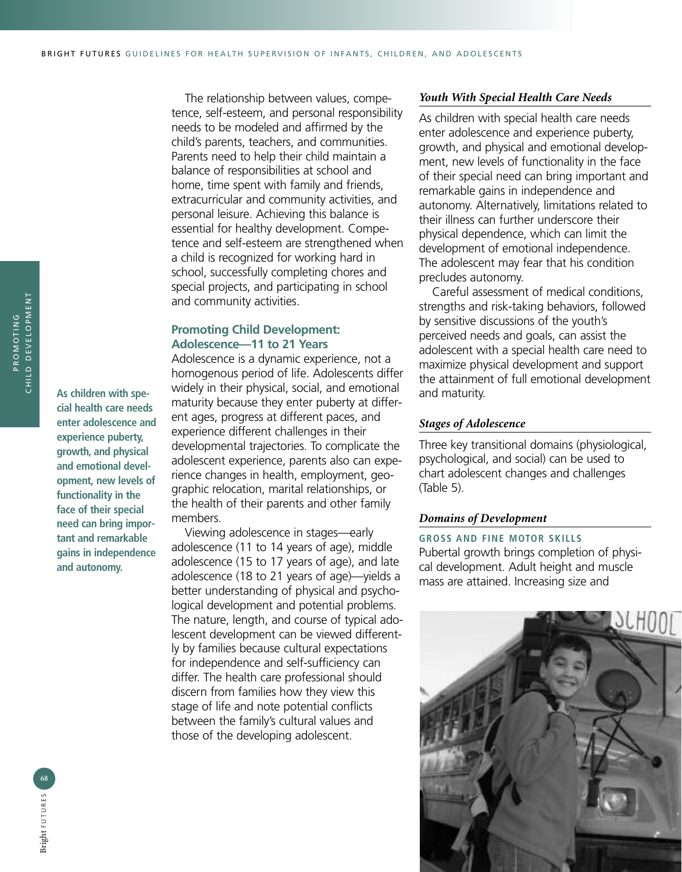The relationship between values, competence, self-esteem, and personal responsibility needs to be modeled and affirmed by the child's parents, teachers, and communities. Parents need to help their child maintain a balance of responsibilities at school and home, time spent with family and friends, extracurricular and community activities, and personal leisure. Achieving this balance is essential for healthy development. Competence and self-esteem are strengthened when a child is recognized for working hard in school, successfully completing chores and special projects, and participating in school and community activities.

# **Promoting Child Development: Adolescence—11 to 21 Years**

Adolescence is a dynamic experience, not a homogenous period of life. Adolescents differ widely in their physical, social, and emotional maturity because they enter puberty at different ages, progress at different paces, and experience different challenges in their developmental trajectories. To complicate the adolescent experience, parents also can experience changes in health, employment, geographic relocation, marital relationships, or the health of their parents and other family members.

Viewing adolescence in stages—early adolescence (11 to 14 years of age), middle adolescence (15 to 17 years of age), and late adolescence (18 to 21 years of age)—yields a better understanding of physical and psychological development and potential problems. The nature, length, and course of typical adolescent development can be viewed differently by families because cultural expectations for independence and self-sufficiency can differ. The health care professional should discern from families how they view this stage of life and note potential conflicts between the family's cultural values and those of the developing adolescent.

#### *Youth With Special Health Care Needs*

As children with special health care needs enter adolescence and experience puberty, growth, and physical and emotional development, new levels of functionality in the face of their special need can bring important and remarkable gains in independence and autonomy. Alternatively, limitations related to their illness can further underscore their physical dependence, which can limit the development of emotional independence. The adolescent may fear that his condition precludes autonomy.

Careful assessment of medical conditions, strengths and risk-taking behaviors, followed by sensitive discussions of the youth's perceived needs and goals, can assist the adolescent with a special health care need to maximize physical development and support the attainment of full emotional development and maturity.

# *Stages of Adolescence*

Three key transitional domains (physiological, psychological, and social) can be used to chart adolescent changes and challenges (Table 5).

#### *Domains of Development*

#### **GROSS AND FINE MOTOR SKILLS**

Pubertal growth brings completion of physical development. Adult height and muscle mass are attained. Increasing size and



**As children with special health care needs enter adolescence and experience puberty, growth, and physical and emotional development, new levels of functionality in the face of their special need can bring important and remarkable gains in independence and autonomy.**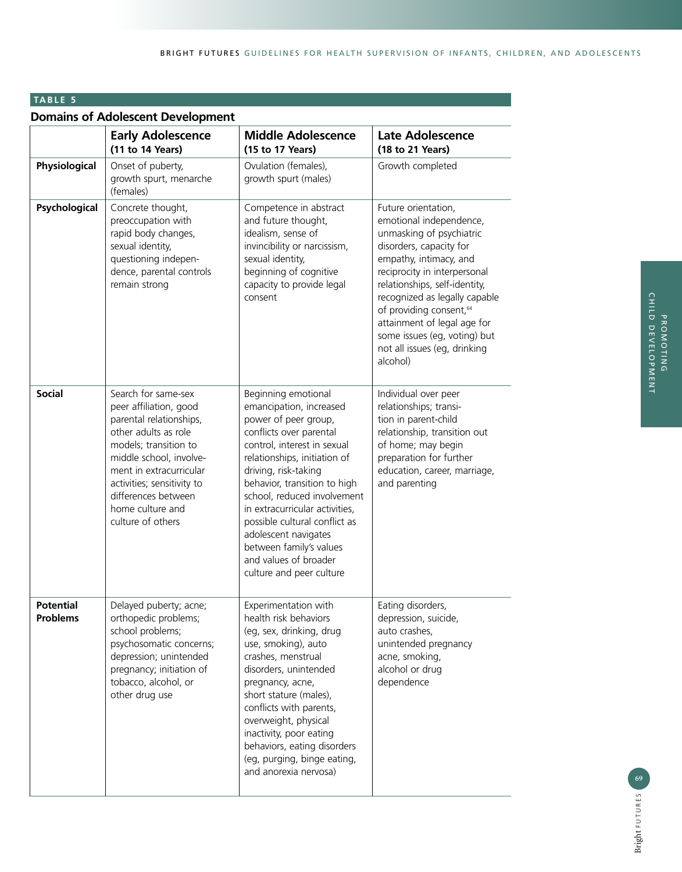|                                     | <b>Domains of Adolescent Development</b>                                                                                                                                                                                                                                      |                                                                                                                                                                                                                                                                                                                                                                                                                                    |                                                                                                                                                                                                                                                                                                                                                                          |
|-------------------------------------|-------------------------------------------------------------------------------------------------------------------------------------------------------------------------------------------------------------------------------------------------------------------------------|------------------------------------------------------------------------------------------------------------------------------------------------------------------------------------------------------------------------------------------------------------------------------------------------------------------------------------------------------------------------------------------------------------------------------------|--------------------------------------------------------------------------------------------------------------------------------------------------------------------------------------------------------------------------------------------------------------------------------------------------------------------------------------------------------------------------|
|                                     | <b>Early Adolescence</b><br>(11 to 14 Years)                                                                                                                                                                                                                                  | <b>Middle Adolescence</b><br>(15 to 17 Years)                                                                                                                                                                                                                                                                                                                                                                                      | Late Adolescence<br>(18 to 21 Years)                                                                                                                                                                                                                                                                                                                                     |
| Physiological                       | Onset of puberty,<br>growth spurt, menarche<br>(females)                                                                                                                                                                                                                      | Ovulation (females),<br>growth spurt (males)                                                                                                                                                                                                                                                                                                                                                                                       | Growth completed                                                                                                                                                                                                                                                                                                                                                         |
| Psychological                       | Concrete thought,<br>preoccupation with<br>rapid body changes,<br>sexual identity,<br>questioning indepen-<br>dence, parental controls<br>remain strong                                                                                                                       | Competence in abstract<br>and future thought,<br>idealism, sense of<br>invincibility or narcissism,<br>sexual identity,<br>beginning of cognitive<br>capacity to provide legal<br>consent                                                                                                                                                                                                                                          | Future orientation,<br>emotional independence,<br>unmasking of psychiatric<br>disorders, capacity for<br>empathy, intimacy, and<br>reciprocity in interpersonal<br>relationships, self-identity,<br>recognized as legally capable<br>of providing consent, 64<br>attainment of legal age for<br>some issues (eq, voting) but<br>not all issues (eg, drinking<br>alcohol) |
| <b>Social</b>                       | Search for same-sex<br>peer affiliation, good<br>parental relationships,<br>other adults as role<br>models; transition to<br>middle school, involve-<br>ment in extracurricular<br>activities; sensitivity to<br>differences between<br>home culture and<br>culture of others | Beginning emotional<br>emancipation, increased<br>power of peer group,<br>conflicts over parental<br>control, interest in sexual<br>relationships, initiation of<br>driving, risk-taking<br>behavior, transition to high<br>school, reduced involvement<br>in extracurricular activities,<br>possible cultural conflict as<br>adolescent navigates<br>between family's values<br>and values of broader<br>culture and peer culture | Individual over peer<br>relationships; transi-<br>tion in parent-child<br>relationship, transition out<br>of home; may begin<br>preparation for further<br>education, career, marriage,<br>and parenting                                                                                                                                                                 |
| <b>Potential</b><br><b>Problems</b> | Delayed puberty; acne;<br>orthopedic problems;<br>school problems;<br>psychosomatic concerns;<br>depression; unintended<br>pregnancy; initiation of<br>tobacco, alcohol, or<br>other drug use                                                                                 | Experimentation with<br>health risk behaviors<br>(eg, sex, drinking, drug<br>use, smoking), auto<br>crashes, menstrual<br>disorders, unintended<br>pregnancy, acne,<br>short stature (males),<br>conflicts with parents,<br>overweight, physical<br>inactivity, poor eating<br>behaviors, eating disorders<br>(eg, purging, binge eating,<br>and anorexia nervosa)                                                                 | Eating disorders,<br>depression, suicide,<br>auto crashes,<br>unintended pregnancy<br>acne, smoking,<br>alcohol or drug<br>dependence                                                                                                                                                                                                                                    |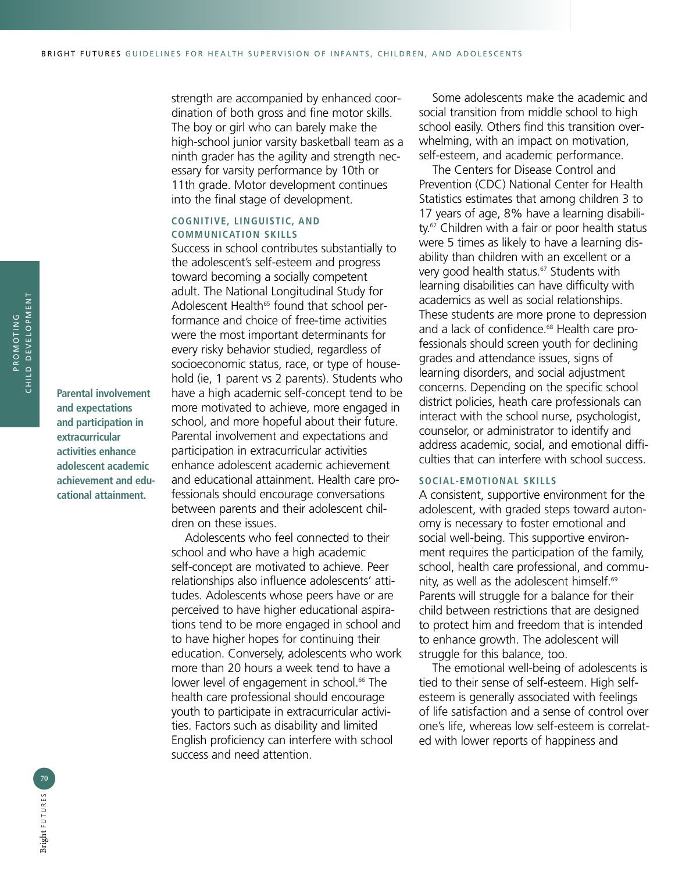strength are accompanied by enhanced coordination of both gross and fine motor skills. The boy or girl who can barely make the high-school junior varsity basketball team as a ninth grader has the agility and strength necessary for varsity performance by 10th or 11th grade. Motor development continues into the final stage of development.

# **COGNITIVE, LINGUISTIC, AND COMMUNICATION SKILLS**

Success in school contributes substantially to the adolescent's self-esteem and progress toward becoming a socially competent adult. The National Longitudinal Study for Adolescent Health<sup>65</sup> found that school performance and choice of free-time activities were the most important determinants for every risky behavior studied, regardless of socioeconomic status, race, or type of household (ie, 1 parent vs 2 parents). Students who have a high academic self-concept tend to be more motivated to achieve, more engaged in school, and more hopeful about their future. Parental involvement and expectations and participation in extracurricular activities enhance adolescent academic achievement and educational attainment. Health care professionals should encourage conversations between parents and their adolescent children on these issues.

Adolescents who feel connected to their school and who have a high academic self-concept are motivated to achieve. Peer relationships also influence adolescents' attitudes. Adolescents whose peers have or are perceived to have higher educational aspirations tend to be more engaged in school and to have higher hopes for continuing their education. Conversely, adolescents who work more than 20 hours a week tend to have a lower level of engagement in school.<sup>66</sup> The health care professional should encourage youth to participate in extracurricular activities. Factors such as disability and limited English proficiency can interfere with school success and need attention.

Some adolescents make the academic and social transition from middle school to high school easily. Others find this transition overwhelming, with an impact on motivation, self-esteem, and academic performance.

The Centers for Disease Control and Prevention (CDC) National Center for Health Statistics estimates that among children 3 to 17 years of age, 8% have a learning disability.<sup>67</sup> Children with a fair or poor health status were 5 times as likely to have a learning disability than children with an excellent or a very good health status.<sup>67</sup> Students with learning disabilities can have difficulty with academics as well as social relationships. These students are more prone to depression and a lack of confidence.<sup>68</sup> Health care professionals should screen youth for declining grades and attendance issues, signs of learning disorders, and social adjustment concerns. Depending on the specific school district policies, heath care professionals can interact with the school nurse, psychologist, counselor, or administrator to identify and address academic, social, and emotional difficulties that can interfere with school success.

## **SOCIAL-EMOTIONAL SKILLS**

A consistent, supportive environment for the adolescent, with graded steps toward autonomy is necessary to foster emotional and social well-being. This supportive environment requires the participation of the family, school, health care professional, and community, as well as the adolescent himself.<sup>69</sup> Parents will struggle for a balance for their child between restrictions that are designed to protect him and freedom that is intended to enhance growth. The adolescent will struggle for this balance, too.

The emotional well-being of adolescents is tied to their sense of self-esteem. High selfesteem is generally associated with feelings of life satisfaction and a sense of control over one's life, whereas low self-esteem is correlated with lower reports of happiness and

**Parental involvement and expectations and participation in extracurricular activities enhance adolescent academic achievement and educational attainment.**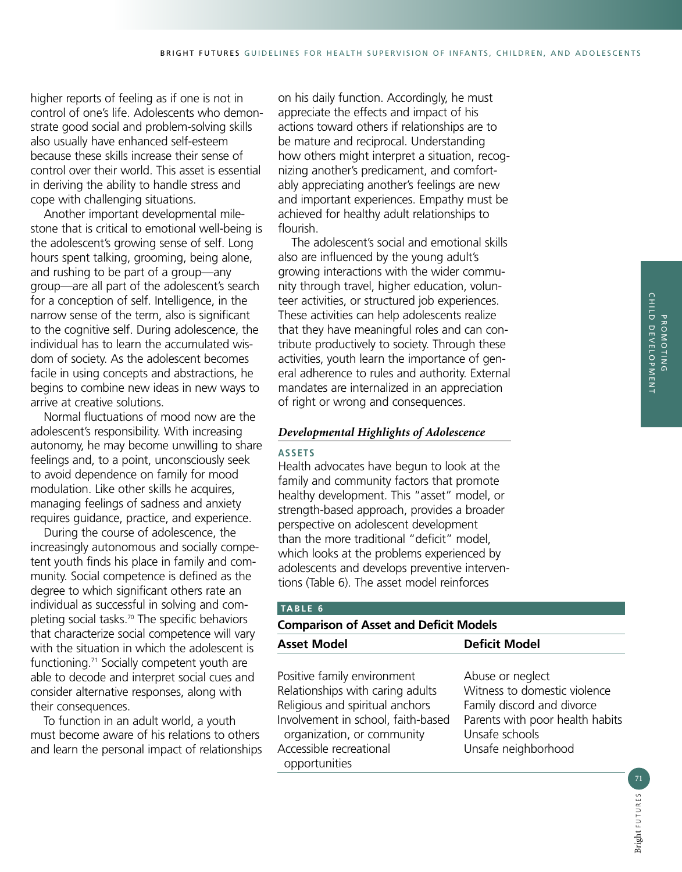higher reports of feeling as if one is not in control of one's life. Adolescents who demonstrate good social and problem-solving skills also usually have enhanced self-esteem because these skills increase their sense of control over their world. This asset is essential in deriving the ability to handle stress and cope with challenging situations.

Another important developmental milestone that is critical to emotional well-being is the adolescent's growing sense of self. Long hours spent talking, grooming, being alone, and rushing to be part of a group—any group—are all part of the adolescent's search for a conception of self. Intelligence, in the narrow sense of the term, also is significant to the cognitive self. During adolescence, the individual has to learn the accumulated wisdom of society. As the adolescent becomes facile in using concepts and abstractions, he begins to combine new ideas in new ways to arrive at creative solutions.

Normal fluctuations of mood now are the adolescent's responsibility. With increasing autonomy, he may become unwilling to share feelings and, to a point, unconsciously seek to avoid dependence on family for mood modulation. Like other skills he acquires, managing feelings of sadness and anxiety requires guidance, practice, and experience.

During the course of adolescence, the increasingly autonomous and socially competent youth finds his place in family and community. Social competence is defined as the degree to which significant others rate an individual as successful in solving and completing social tasks.<sup>70</sup> The specific behaviors that characterize social competence will vary with the situation in which the adolescent is functioning.71 Socially competent youth are able to decode and interpret social cues and consider alternative responses, along with their consequences.

To function in an adult world, a youth must become aware of his relations to others and learn the personal impact of relationships on his daily function. Accordingly, he must appreciate the effects and impact of his actions toward others if relationships are to be mature and reciprocal. Understanding how others might interpret a situation, recognizing another's predicament, and comfortably appreciating another's feelings are new and important experiences. Empathy must be achieved for healthy adult relationships to flourish.

The adolescent's social and emotional skills also are influenced by the young adult's growing interactions with the wider community through travel, higher education, volunteer activities, or structured job experiences. These activities can help adolescents realize that they have meaningful roles and can contribute productively to society. Through these activities, youth learn the importance of general adherence to rules and authority. External mandates are internalized in an appreciation of right or wrong and consequences.

#### *Developmental Highlights of Adolescence*

#### **ASSETS**

Health advocates have begun to look at the family and community factors that promote healthy development. This "asset" model, or strength-based approach, provides a broader perspective on adolescent development than the more traditional "deficit" model, which looks at the problems experienced by adolescents and develops preventive interventions (Table 6). The asset model reinforces

#### **TABLE 6**

# **Comparison of Asset and Deficit Models**

# **Asset Model Deficit Model**

Positive family environment Abuse or neglect Relationships with caring adults Witness to domestic violence Religious and spiritual anchors Family discord and divorce Involvement in school, faith-based Parents with poor health habits organization, or community Unsafe schools Accessible recreational Unsafe neighborhood opportunities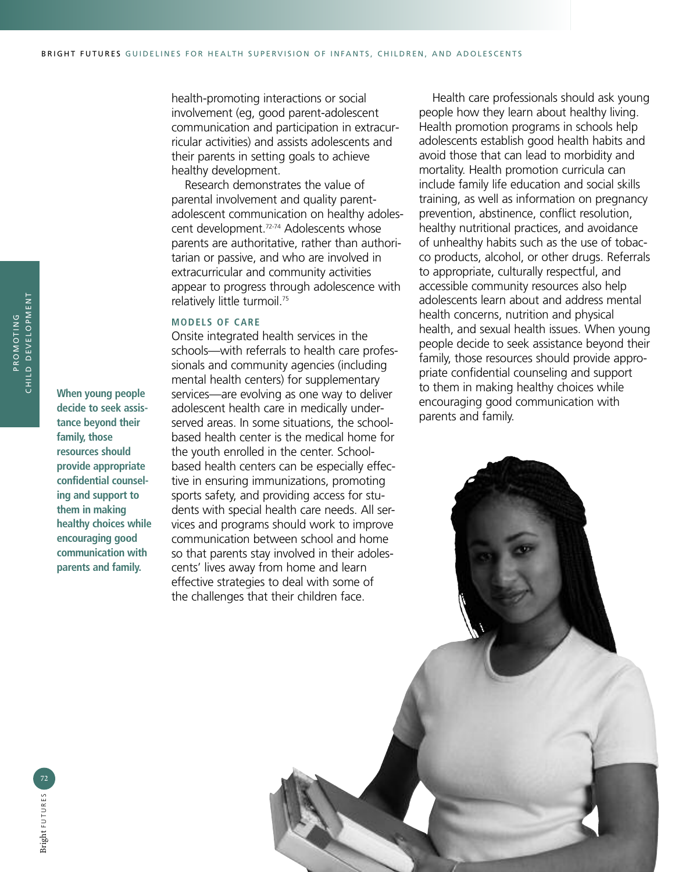health-promoting interactions or social involvement (eg, good parent-adolescent communication and participation in extracurricular activities) and assists adolescents and their parents in setting goals to achieve healthy development.

Research demonstrates the value of parental involvement and quality parentadolescent communication on healthy adolescent development.<sup>72-74</sup> Adolescents whose parents are authoritative, rather than authoritarian or passive, and who are involved in extracurricular and community activities appear to progress through adolescence with relatively little turmoil.75

#### **MODELS OF CARE**

**When young people decide to seek assisprovide appropriate confidential counselhealthy choices while communication with parents and family.**

Onsite integrated health services in the schools—with referrals to health care professionals and community agencies (including mental health centers) for supplementary services—are evolving as one way to deliver adolescent health care in medically underserved areas. In some situations, the schoolbased health center is the medical home for the youth enrolled in the center. Schoolbased health centers can be especially effective in ensuring immunizations, promoting sports safety, and providing access for students with special health care needs. All services and programs should work to improve communication between school and home so that parents stay involved in their adolescents' lives away from home and learn effective strategies to deal with some of the challenges that their children face.

Health care professionals should ask young people how they learn about healthy living. Health promotion programs in schools help adolescents establish good health habits and avoid those that can lead to morbidity and mortality. Health promotion curricula can include family life education and social skills training, as well as information on pregnancy prevention, abstinence, conflict resolution, healthy nutritional practices, and avoidance of unhealthy habits such as the use of tobacco products, alcohol, or other drugs. Referrals to appropriate, culturally respectful, and accessible community resources also help adolescents learn about and address mental health concerns, nutrition and physical health, and sexual health issues. When young people decide to seek assistance beyond their family, those resources should provide appropriate confidential counseling and support to them in making healthy choices while encouraging good communication with parents and family.

**tance beyond their family, those resources should ing and support to them in making encouraging good**

CHILD DEVELOPMENT C H I L D D E V E L O P M E N TPROMOTING P R O M O T I N G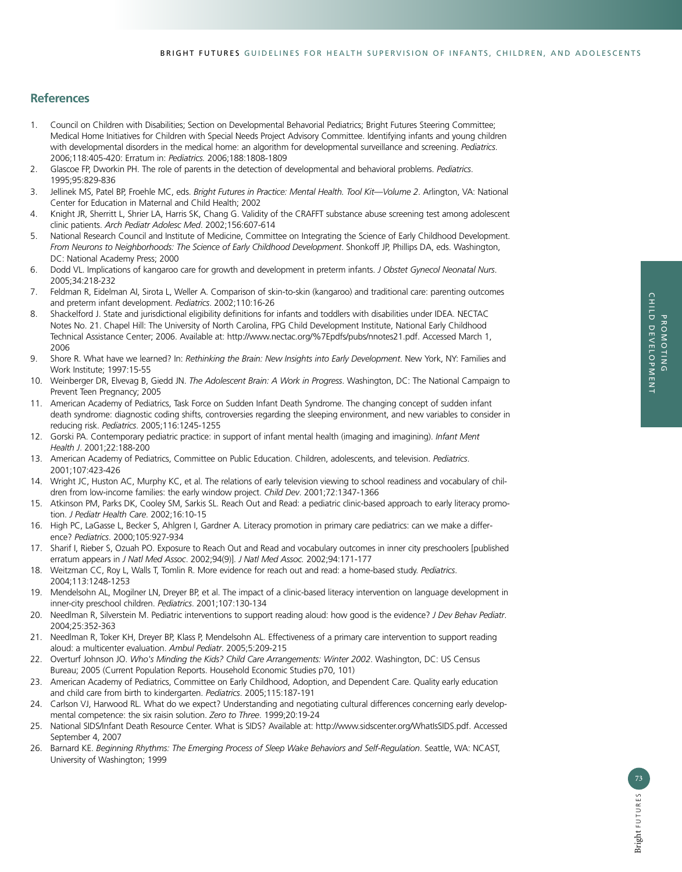#### **References**

- 1. Council on Children with Disabilities; Section on Developmental Behavorial Pediatrics; Bright Futures Steering Committee; Medical Home Initiatives for Children with Special Needs Project Advisory Committee. Identifying infants and young children with developmental disorders in the medical home: an algorithm for developmental surveillance and screening. *Pediatrics*. 2006;118:405-420: Erratum in: *Pediatrics.* 2006;188:1808-1809
- 2. Glascoe FP, Dworkin PH. The role of parents in the detection of developmental and behavioral problems. *Pediatrics*. 1995;95:829-836
- 3. Jellinek MS, Patel BP, Froehle MC, eds. *Bright Futures in Practice: Mental Health. Tool Kit—Volume 2*. Arlington, VA: National Center for Education in Maternal and Child Health; 2002
- 4. Knight JR, Sherritt L, Shrier LA, Harris SK, Chang G. Validity of the CRAFFT substance abuse screening test among adolescent clinic patients. *Arch Pediatr Adolesc Med*. 2002;156:607-614
- 5. National Research Council and Institute of Medicine, Committee on Integrating the Science of Early Childhood Development. *From Neurons to Neighborhoods: The Science of Early Childhood Development*. Shonkoff JP, Phillips DA, eds. Washington, DC: National Academy Press; 2000
- 6. Dodd VL. Implications of kangaroo care for growth and development in preterm infants. *J Obstet Gynecol Neonatal Nurs*. 2005;34:218-232
- 7. Feldman R, Eidelman AI, Sirota L, Weller A. Comparison of skin-to-skin (kangaroo) and traditional care: parenting outcomes and preterm infant development. *Pediatrics*. 2002;110:16-26
- 8. Shackelford J. State and jurisdictional eligibility definitions for infants and toddlers with disabilities under IDEA. NECTAC Notes No. 21. Chapel Hill: The University of North Carolina, FPG Child Development Institute, National Early Childhood Technical Assistance Center; 2006. Available at: http://www.nectac.org/%7Epdfs/pubs/nnotes21.pdf. Accessed March 1, 2006
- 9. Shore R. What have we learned? In: *Rethinking the Brain: New Insights into Early Development*. New York, NY: Families and Work Institute; 1997:15-55
- 10. Weinberger DR, Elvevag B, Giedd JN. *The Adolescent Brain: A Work in Progress*. Washington, DC: The National Campaign to Prevent Teen Pregnancy; 2005
- 11. American Academy of Pediatrics, Task Force on Sudden Infant Death Syndrome. The changing concept of sudden infant death syndrome: diagnostic coding shifts, controversies regarding the sleeping environment, and new variables to consider in reducing risk. *Pediatrics*. 2005;116:1245-1255
- 12. Gorski PA. Contemporary pediatric practice: in support of infant mental health (imaging and imagining). *Infant Ment Health J*. 2001;22:188-200
- 13. American Academy of Pediatrics, Committee on Public Education. Children, adolescents, and television. *Pediatrics*. 2001;107:423-426
- 14. Wright JC, Huston AC, Murphy KC, et al. The relations of early television viewing to school readiness and vocabulary of children from low-income families: the early window project. *Child Dev*. 2001;72:1347-1366
- 15. Atkinson PM, Parks DK, Cooley SM, Sarkis SL. Reach Out and Read: a pediatric clinic-based approach to early literacy promotion. *J Pediatr Health Care*. 2002;16:10-15
- 16. High PC, LaGasse L, Becker S, Ahlgren I, Gardner A. Literacy promotion in primary care pediatrics: can we make a difference? *Pediatrics*. 2000;105:927-934
- 17. Sharif I, Rieber S, Ozuah PO. Exposure to Reach Out and Read and vocabulary outcomes in inner city preschoolers [published erratum appears in *J Natl Med Assoc*. 2002;94(9)]. *J Natl Med Assoc.* 2002;94:171-177
- 18. Weitzman CC, Roy L, Walls T, Tomlin R. More evidence for reach out and read: a home-based study. *Pediatrics*. 2004;113:1248-1253
- 19. Mendelsohn AL, Mogilner LN, Dreyer BP, et al. The impact of a clinic-based literacy intervention on language development in inner-city preschool children. *Pediatrics*. 2001;107:130-134
- 20. Needlman R, Silverstein M. Pediatric interventions to support reading aloud: how good is the evidence? *J Dev Behav Pediatr*. 2004;25:352-363
- 21. Needlman R, Toker KH, Dreyer BP, Klass P, Mendelsohn AL. Effectiveness of a primary care intervention to support reading aloud: a multicenter evaluation. *Ambul Pediatr*. 2005;5:209-215
- 22. Overturf Johnson JO. *Who's Minding the Kids? Child Care Arrangements: Winter 2002*. Washington, DC: US Census Bureau; 2005 (Current Population Reports. Household Economic Studies p70, 101)
- 23. American Academy of Pediatrics, Committee on Early Childhood, Adoption, and Dependent Care. Quality early education and child care from birth to kindergarten. *Pediatrics*. 2005;115:187-191
- 24. Carlson VJ, Harwood RL. What do we expect? Understanding and negotiating cultural differences concerning early developmental competence: the six raisin solution. *Zero to Three*. 1999;20:19-24
- 25. National SIDS/Infant Death Resource Center. What is SIDS? Available at: http://www.sidscenter.org/WhatIsSIDS.pdf. Accessed September 4, 2007
- 26. Barnard KE. *Beginning Rhythms: The Emerging Process of Sleep Wake Behaviors and Self-Regulation*. Seattle, WA: NCAST, University of Washington; 1999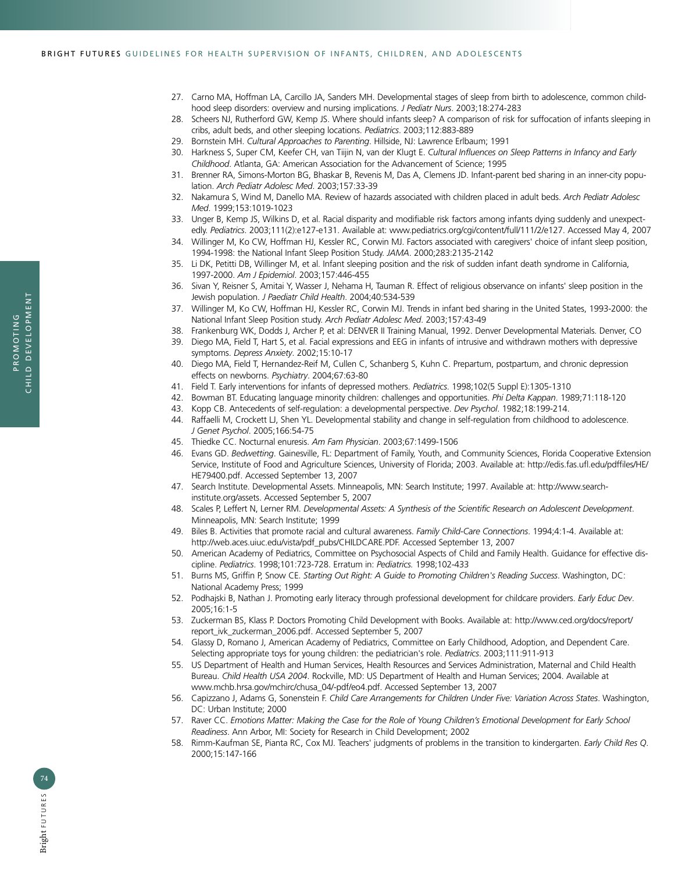- 27. Carno MA, Hoffman LA, Carcillo JA, Sanders MH. Developmental stages of sleep from birth to adolescence, common childhood sleep disorders: overview and nursing implications. *J Pediatr Nurs*. 2003;18:274-283
- 28. Scheers NJ, Rutherford GW, Kemp JS. Where should infants sleep? A comparison of risk for suffocation of infants sleeping in cribs, adult beds, and other sleeping locations. *Pediatrics*. 2003;112:883-889
- 29. Bornstein MH. *Cultural Approaches to Parenting*. Hillside, NJ: Lawrence Erlbaum; 1991
- 30. Harkness S, Super CM, Keefer CH, van Tiijin N, van der Klugt E. *Cultural Influences on Sleep Patterns in Infancy and Early Childhood*. Atlanta, GA: American Association for the Advancement of Science; 1995
- 31. Brenner RA, Simons-Morton BG, Bhaskar B, Revenis M, Das A, Clemens JD. Infant-parent bed sharing in an inner-city population. *Arch Pediatr Adolesc Med*. 2003;157:33-39
- 32. Nakamura S, Wind M, Danello MA. Review of hazards associated with children placed in adult beds. *Arch Pediatr Adolesc Med*. 1999;153:1019-1023
- 33. Unger B, Kemp JS, Wilkins D, et al. Racial disparity and modifiable risk factors among infants dying suddenly and unexpectedly. *Pediatrics*. 2003;111(2):e127-e131. Available at: www.pediatrics.org/cgi/content/full/111/2/e127. Accessed May 4, 2007
- 34. Willinger M, Ko CW, Hoffman HJ, Kessler RC, Corwin MJ. Factors associated with caregivers' choice of infant sleep position, 1994-1998: the National Infant Sleep Position Study. *JAMA*. 2000;283:2135-2142
- 35. Li DK, Petitti DB, Willinger M, et al. Infant sleeping position and the risk of sudden infant death syndrome in California, 1997-2000. *Am J Epidemiol*. 2003;157:446-455
- 36. Sivan Y, Reisner S, Amitai Y, Wasser J, Nehama H, Tauman R. Effect of religious observance on infants' sleep position in the Jewish population. *J Paediatr Child Health*. 2004;40:534-539
- 37. Willinger M, Ko CW, Hoffman HJ, Kessler RC, Corwin MJ. Trends in infant bed sharing in the United States, 1993-2000: the National Infant Sleep Position study. *Arch Pediatr Adolesc Med*. 2003;157:43-49
- 38. Frankenburg WK, Dodds J, Archer P, et al: DENVER II Training Manual, 1992. Denver Developmental Materials. Denver, CO
- 39. Diego MA, Field T, Hart S, et al. Facial expressions and EEG in infants of intrusive and withdrawn mothers with depressive symptoms. *Depress Anxiety*. 2002;15:10-17
- 40. Diego MA, Field T, Hernandez-Reif M, Cullen C, Schanberg S, Kuhn C. Prepartum, postpartum, and chronic depression effects on newborns. *Psychiatry*. 2004;67:63-80
- 41. Field T. Early interventions for infants of depressed mothers. *Pediatrics*. 1998;102(5 Suppl E):1305-1310
- 42. Bowman BT. Educating language minority children: challenges and opportunities. *Phi Delta Kappan*. 1989;71:118-120
- 43. Kopp CB. Antecedents of self-regulation: a developmental perspective. *Dev Psychol*. 1982;18:199-214.
- 44. Raffaelli M, Crockett LJ, Shen YL. Developmental stability and change in self-regulation from childhood to adolescence. *J Genet Psychol*. 2005;166:54-75
- 45. Thiedke CC. Nocturnal enuresis. *Am Fam Physician*. 2003;67:1499-1506
- 46. Evans GD. *Bedwetting*. Gainesville, FL: Department of Family, Youth, and Community Sciences, Florida Cooperative Extension Service, Institute of Food and Agriculture Sciences, University of Florida; 2003. Available at: http://edis.fas.ufl.edu/pdffiles/HE/ HE79400.pdf. Accessed September 13, 2007
- 47. Search Institute. Developmental Assets. Minneapolis, MN: Search Institute; 1997. Available at: http://www.searchinstitute.org/assets. Accessed September 5, 2007
- 48. Scales P, Leffert N, Lerner RM. *Developmental Assets: A Synthesis of the Scientific Research on Adolescent Development*. Minneapolis, MN: Search Institute; 1999
- 49. Biles B. Activities that promote racial and cultural awareness. *Family Child-Care Connections*. 1994;4:1-4. Available at: http://web.aces.uiuc.edu/vista/pdf\_pubs/CHILDCARE.PDF. Accessed September 13, 2007
- 50. American Academy of Pediatrics, Committee on Psychosocial Aspects of Child and Family Health. Guidance for effective discipline. *Pediatrics*. 1998;101:723-728. Erratum in: *Pediatrics.* 1998;102-433
- 51. Burns MS, Griffin P, Snow CE. *Starting Out Right: A Guide to Promoting Children's Reading Success*. Washington, DC: National Academy Press; 1999
- 52. Podhajski B, Nathan J. Promoting early literacy through professional development for childcare providers. *Early Educ Dev*. 2005;16:1-5
- 53. Zuckerman BS, Klass P. Doctors Promoting Child Development with Books. Available at: http://www.ced.org/docs/report/ report\_ivk\_zuckerman\_2006.pdf. Accessed September 5, 2007
- 54. Glassy D, Romano J, American Academy of Pediatrics, Committee on Early Childhood, Adoption, and Dependent Care. Selecting appropriate toys for young children: the pediatrician's role. *Pediatrics*. 2003;111:911-913
- 55. US Department of Health and Human Services, Health Resources and Services Administration, Maternal and Child Health Bureau. *Child Health USA 2004*. Rockville, MD: US Department of Health and Human Services; 2004. Available at www.mchb.hrsa.gov/mchirc/chusa\_04/-pdf/eo4.pdf. Accessed September 13, 2007
- 56. Capizzano J, Adams G, Sonenstein F. *Child Care Arrangements for Children Under Five: Variation Across States*. Washington, DC: Urban Institute; 2000
- 57. Raver CC. *Emotions Matter: Making the Case for the Role of Young Children's Emotional Development for Early School Readiness*. Ann Arbor, MI: Society for Research in Child Development; 2002
- 58. Rimm-Kaufman SE, Pianta RC, Cox MJ. Teachers' judgments of problems in the transition to kindergarten. *Early Child Res Q*. 2000;15:147-166